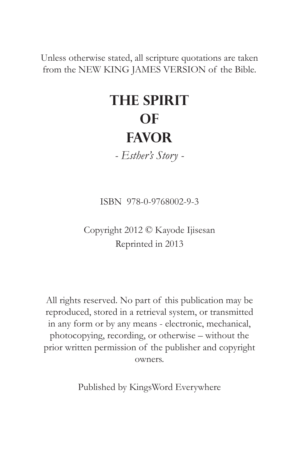Unless otherwise stated, all scripture quotations are taken from the NEW KING JAMES VERSION of the Bible.

# **THE SPIRIT OF FAVOR**

*- Esther's Story -*

ISBN 978-0-9768002-9-3

Copyright 2012 © Kayode Ijisesan Reprinted in 2013

All rights reserved. No part of this publication may be reproduced, stored in a retrieval system, or transmitted in any form or by any means - electronic, mechanical, photocopying, recording, or otherwise – without the prior written permission of the publisher and copyright owners.

Published by KingsWord Everywhere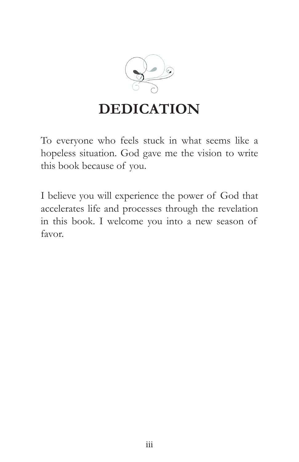

# **DEDICATION**

To everyone who feels stuck in what seems like a hopeless situation. God gave me the vision to write this book because of you.

I believe you will experience the power of God that accelerates life and processes through the revelation in this book. I welcome you into a new season of favor.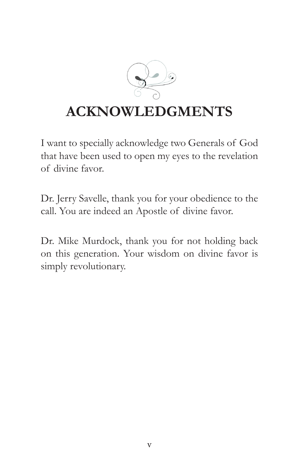

# **ACKNOWLEDGMENTS**

I want to specially acknowledge two Generals of God that have been used to open my eyes to the revelation of divine favor.

Dr. Jerry Savelle, thank you for your obedience to the call. You are indeed an Apostle of divine favor.

Dr. Mike Murdock, thank you for not holding back on this generation. Your wisdom on divine favor is simply revolutionary.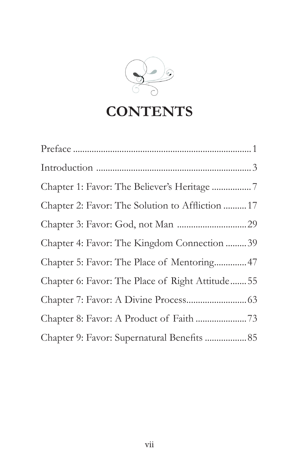

| Chapter 2: Favor: The Solution to Affliction  17 |  |
|--------------------------------------------------|--|
|                                                  |  |
| Chapter 4: Favor: The Kingdom Connection 39      |  |
| Chapter 5: Favor: The Place of Mentoring 47      |  |
| Chapter 6: Favor: The Place of Right Attitude55  |  |
|                                                  |  |
|                                                  |  |
| Chapter 9: Favor: Supernatural Benefits  85      |  |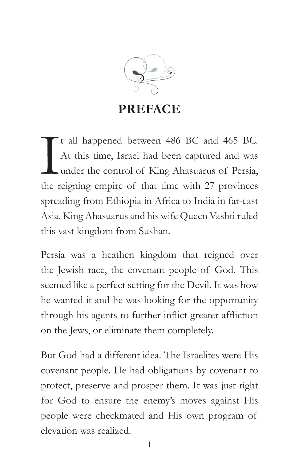

**PREFACE**

It all happened between 486 BC and 465 BC.<br>At this time, Israel had been captured and was<br>under the control of King Ahasuarus of Persia,<br>the reigning empire of that time with 27 provinces t all happened between 486 BC and 465 BC. At this time, Israel had been captured and was under the control of King Ahasuarus of Persia, spreading from Ethiopia in Africa to India in far-east Asia. King Ahasuarus and his wife Queen Vashti ruled this vast kingdom from Sushan.

Persia was a heathen kingdom that reigned over the Jewish race, the covenant people of God. This seemed like a perfect setting for the Devil. It was how he wanted it and he was looking for the opportunity through his agents to further inflict greater affliction on the Jews, or eliminate them completely.

But God had a different idea. The Israelites were His covenant people. He had obligations by covenant to protect, preserve and prosper them. It was just right for God to ensure the enemy's moves against His people were checkmated and His own program of elevation was realized.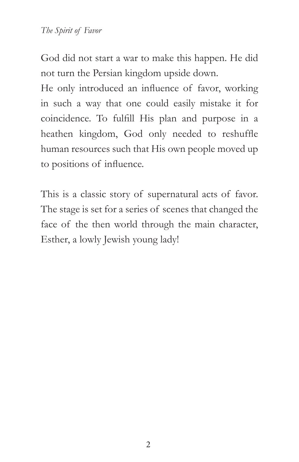God did not start a war to make this happen. He did not turn the Persian kingdom upside down.

He only introduced an influence of favor, working in such a way that one could easily mistake it for coincidence. To fulfill His plan and purpose in a heathen kingdom, God only needed to reshuffle human resources such that His own people moved up to positions of influence.

This is a classic story of supernatural acts of favor. The stage is set for a series of scenes that changed the face of the then world through the main character, Esther, a lowly Jewish young lady!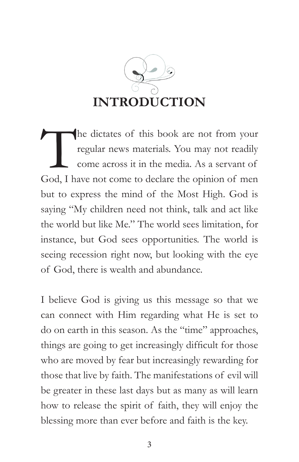

The dictates of this book are not from your regular news materials. You may not readily come across it in the media. As a servant of God, I have not come to declare the opinion of men but to express the mind of the Most High. God is saying "My children need not think, talk and act like the world but like Me." The world sees limitation, for instance, but God sees opportunities. The world is seeing recession right now, but looking with the eye of God, there is wealth and abundance.

I believe God is giving us this message so that we can connect with Him regarding what He is set to do on earth in this season. As the "time" approaches, things are going to get increasingly difficult for those who are moved by fear but increasingly rewarding for those that live by faith. The manifestations of evil will be greater in these last days but as many as will learn how to release the spirit of faith, they will enjoy the blessing more than ever before and faith is the key.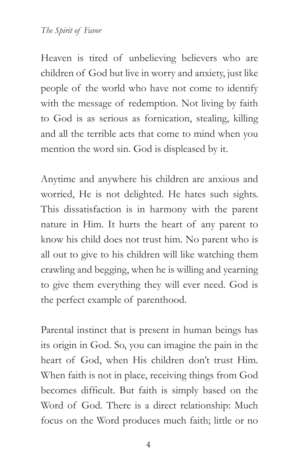#### *The Spirit of Favor*

Heaven is tired of unbelieving believers who are children of God but live in worry and anxiety, just like people of the world who have not come to identify with the message of redemption. Not living by faith to God is as serious as fornication, stealing, killing and all the terrible acts that come to mind when you mention the word sin. God is displeased by it.

Anytime and anywhere his children are anxious and worried, He is not delighted. He hates such sights. This dissatisfaction is in harmony with the parent nature in Him. It hurts the heart of any parent to know his child does not trust him. No parent who is all out to give to his children will like watching them crawling and begging, when he is willing and yearning to give them everything they will ever need. God is the perfect example of parenthood.

Parental instinct that is present in human beings has its origin in God. So, you can imagine the pain in the heart of God, when His children don't trust Him. When faith is not in place, receiving things from God becomes difficult. But faith is simply based on the Word of God. There is a direct relationship: Much focus on the Word produces much faith; little or no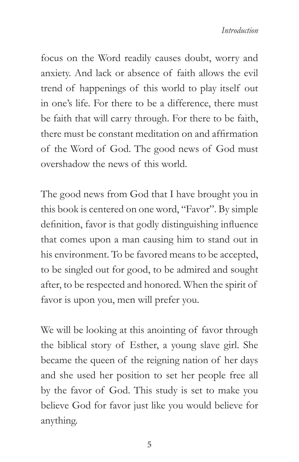focus on the Word readily causes doubt, worry and anxiety. And lack or absence of faith allows the evil trend of happenings of this world to play itself out in one's life. For there to be a difference, there must be faith that will carry through. For there to be faith, there must be constant meditation on and affirmation of the Word of God. The good news of God must overshadow the news of this world.

The good news from God that I have brought you in this book is centered on one word, "Favor". By simple definition, favor is that godly distinguishing influence that comes upon a man causing him to stand out in his environment. To be favored means to be accepted, to be singled out for good, to be admired and sought after, to be respected and honored. When the spirit of favor is upon you, men will prefer you.

We will be looking at this anointing of favor through the biblical story of Esther, a young slave girl. She became the queen of the reigning nation of her days and she used her position to set her people free all by the favor of God. This study is set to make you believe God for favor just like you would believe for anything.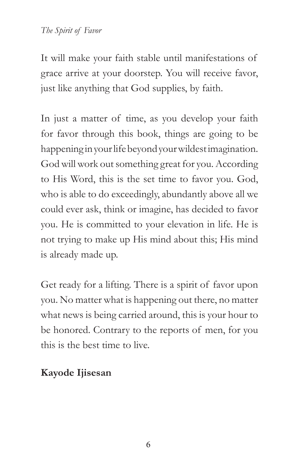It will make your faith stable until manifestations of grace arrive at your doorstep. You will receive favor, just like anything that God supplies, by faith.

In just a matter of time, as you develop your faith for favor through this book, things are going to be happening in your life beyond your wildest imagination. God will work out something great for you. According to His Word, this is the set time to favor you. God, who is able to do exceedingly, abundantly above all we could ever ask, think or imagine, has decided to favor you. He is committed to your elevation in life. He is not trying to make up His mind about this; His mind is already made up.

Get ready for a lifting. There is a spirit of favor upon you. No matter what is happening out there, no matter what news is being carried around, this is your hour to be honored. Contrary to the reports of men, for you this is the best time to live.

### **Kayode Ijisesan**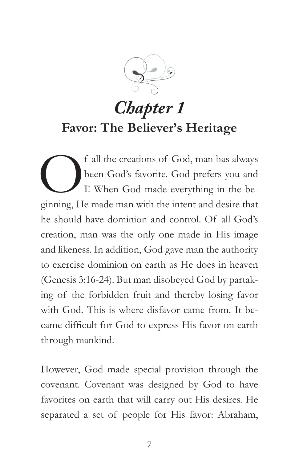

# *Chapter 1* **Favor: The Believer's Heritage**

f all the creations of God, man has always<br>been God's favorite. God prefers you and<br>I! When God made everything in the be-<br>pinning He made man with the intent and desire that been God's favorite. God prefers you and I! When God made everything in the beginning, He made man with the intent and desire that he should have dominion and control. Of all God's creation, man was the only one made in His image and likeness. In addition, God gave man the authority to exercise dominion on earth as He does in heaven (Genesis 3:16-24). But man disobeyed God by partaking of the forbidden fruit and thereby losing favor with God. This is where disfavor came from. It became difficult for God to express His favor on earth through mankind.

However, God made special provision through the covenant. Covenant was designed by God to have favorites on earth that will carry out His desires. He separated a set of people for His favor: Abraham,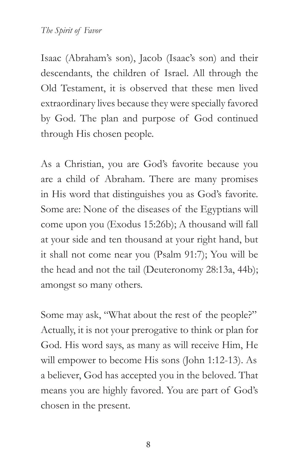#### *The Spirit of Favor*

Isaac (Abraham's son), Jacob (Isaac's son) and their descendants, the children of Israel. All through the Old Testament, it is observed that these men lived extraordinary lives because they were specially favored by God. The plan and purpose of God continued through His chosen people.

As a Christian, you are God's favorite because you are a child of Abraham. There are many promises in His word that distinguishes you as God's favorite. Some are: None of the diseases of the Egyptians will come upon you (Exodus 15:26b); A thousand will fall at your side and ten thousand at your right hand, but it shall not come near you (Psalm 91:7); You will be the head and not the tail (Deuteronomy 28:13a, 44b); amongst so many others.

Some may ask, "What about the rest of the people?" Actually, it is not your prerogative to think or plan for God. His word says, as many as will receive Him, He will empower to become His sons (John 1:12-13). As a believer, God has accepted you in the beloved. That means you are highly favored. You are part of God's chosen in the present.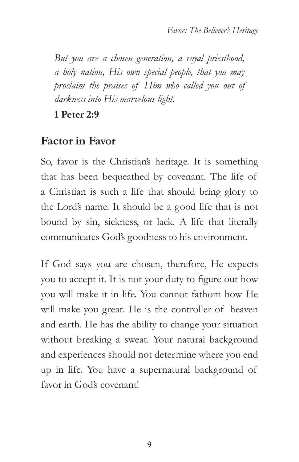*But you are a chosen generation, a royal priesthood, a holy nation, His own special people, that you may proclaim the praises of Him who called you out of darkness into His marvelous light.*

**1 Peter 2:9**

### **Factor in Favor**

So, favor is the Christian's heritage. It is something that has been bequeathed by covenant. The life of a Christian is such a life that should bring glory to the Lord's name. It should be a good life that is not bound by sin, sickness, or lack. A life that literally communicates God's goodness to his environment.

If God says you are chosen, therefore, He expects you to accept it. It is not your duty to figure out how you will make it in life. You cannot fathom how He will make you great. He is the controller of heaven and earth. He has the ability to change your situation without breaking a sweat. Your natural background and experiences should not determine where you end up in life. You have a supernatural background of favor in God's covenant!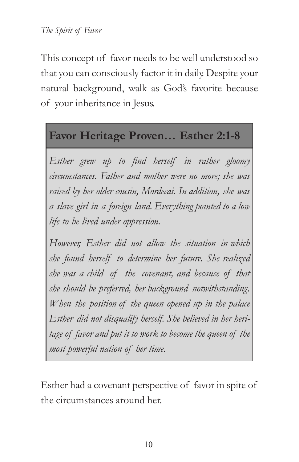This concept of favor needs to be well understood so that you can consciously factor it in daily. Despite your natural background, walk as God's favorite because of your inheritance in Jesus.

### **Favor Heritage Proven… Esther 2:1-8**

*Esther grew up to find herself in rather gloomy circumstances. Father and mother were no more; she was raised by her older cousin, Mordecai. In addition, she was a slave girl in a foreign land. Everything pointed to a low life to be lived under oppression.*

*However, Esther did not allow the situation in which she found herself to determine her future. She realized she was a child of the covenant, and because of that she should be preferred, her background notwithstanding. When the position of the queen opened up in the palace Esther did not disqualify herself. She believed in her heritage of favor and put it to work to become the queen of the most powerful nation of her time.*

Esther had a covenant perspective of favor in spite of the circumstances around her.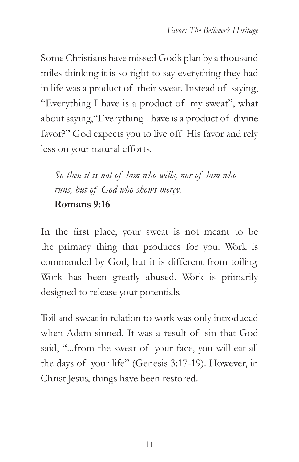Some Christians have missed God's plan by a thousand miles thinking it is so right to say everything they had in life was a product of their sweat. Instead of saying, "Everything I have is a product of my sweat", what about saying,"Everything I have is a product of divine favor?" God expects you to live off His favor and rely less on your natural efforts.

*So then it is not of him who wills, nor of him who runs, but of God who shows mercy.* **Romans 9:16**

In the first place, your sweat is not meant to be the primary thing that produces for you. Work is commanded by God, but it is different from toiling. Work has been greatly abused. Work is primarily designed to release your potentials.

Toil and sweat in relation to work was only introduced when Adam sinned. It was a result of sin that God said, "...from the sweat of your face, you will eat all the days of your life" (Genesis 3:17-19). However, in Christ Jesus, things have been restored.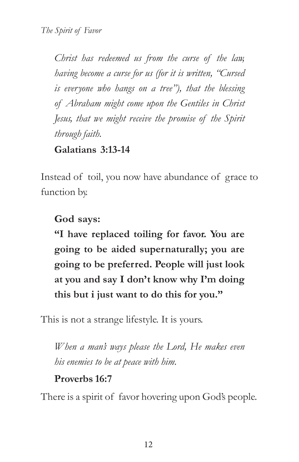*Christ has redeemed us from the curse of the law, having become a curse for us (for it is written, "Cursed is everyone who hangs on a tree"), that the blessing of Abraham might come upon the Gentiles in Christ Jesus, that we might receive the promise of the Spirit through faith.*

### **Galatians 3:13-14**

Instead of toil, you now have abundance of grace to function by.

**God says:**

**"I have replaced toiling for favor. You are going to be aided supernaturally; you are going to be preferred. People will just look at you and say I don't know why I'm doing this but i just want to do this for you."**

This is not a strange lifestyle. It is yours.

*When a man's ways please the Lord, He makes even his enemies to be at peace with him.*

### **Proverbs 16:7**

There is a spirit of favor hovering upon God's people.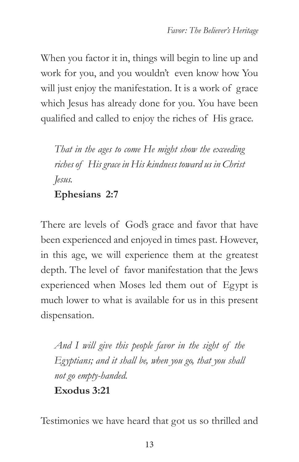When you factor it in, things will begin to line up and work for you, and you wouldn't even know how. You will just enjoy the manifestation. It is a work of grace which Jesus has already done for you. You have been qualified and called to enjoy the riches of His grace.

*That in the ages to come He might show the exceeding riches of His grace in His kindness toward us in Christ Jesus.*

### **Ephesians 2:7**

There are levels of God's grace and favor that have been experienced and enjoyed in times past. However, in this age, we will experience them at the greatest depth. The level of favor manifestation that the Jews experienced when Moses led them out of Egypt is much lower to what is available for us in this present dispensation.

*And I will give this people favor in the sight of the Egyptians; and it shall be, when you go, that you shall not go empty-handed.* **Exodus 3:21**

Testimonies we have heard that got us so thrilled and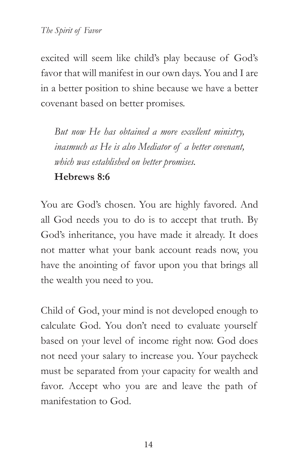excited will seem like child's play because of God's favor that will manifest in our own days. You and I are in a better position to shine because we have a better covenant based on better promises.

*But now He has obtained a more excellent ministry, inasmuch as He is also Mediator of a better covenant, which was established on better promises.*

### **Hebrews 8:6**

You are God's chosen. You are highly favored. And all God needs you to do is to accept that truth. By God's inheritance, you have made it already. It does not matter what your bank account reads now, you have the anointing of favor upon you that brings all the wealth you need to you.

Child of God, your mind is not developed enough to calculate God. You don't need to evaluate yourself based on your level of income right now. God does not need your salary to increase you. Your paycheck must be separated from your capacity for wealth and favor. Accept who you are and leave the path of manifestation to God.

14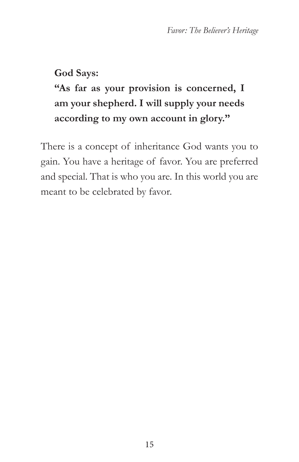# **God Says: "As far as your provision is concerned, I am your shepherd. I will supply your needs according to my own account in glory."**

There is a concept of inheritance God wants you to gain. You have a heritage of favor. You are preferred and special. That is who you are. In this world you are meant to be celebrated by favor.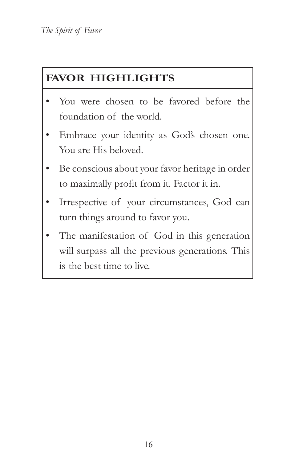### **FAVOR HIGHLIGHTS**

- You were chosen to be favored before the foundation of the world.
- Embrace your identity as God's chosen one. You are His beloved.
- Be conscious about your favor heritage in order to maximally profit from it. Factor it in.
- Irrespective of your circumstances, God can turn things around to favor you.
- The manifestation of God in this generation will surpass all the previous generations. This is the best time to live.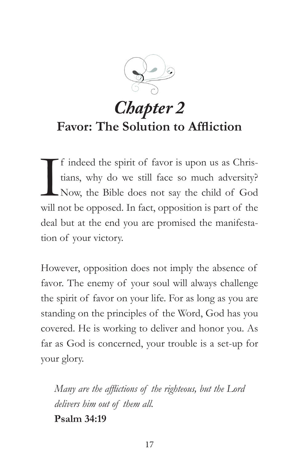

# *Chapter 2* **Favor: The Solution to Affliction**

If indeed the spirit of favor is upon us as Christians, why do we still face so much adversity?<br>Now, the Bible does not say the child of God will not be opposed. In fact, opposition is part of the f indeed the spirit of favor is upon us as Christians, why do we still face so much adversity? Now, the Bible does not say the child of God deal but at the end you are promised the manifestation of your victory.

However, opposition does not imply the absence of favor. The enemy of your soul will always challenge the spirit of favor on your life. For as long as you are standing on the principles of the Word, God has you covered. He is working to deliver and honor you. As far as God is concerned, your trouble is a set-up for your glory.

*Many are the afflictions of the righteous, but the Lord delivers him out of them all.* **Psalm 34:19**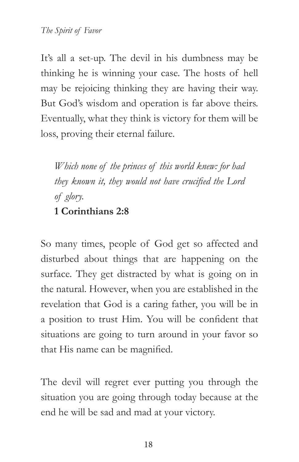*The Spirit of Favor*

It's all a set-up. The devil in his dumbness may be thinking he is winning your case. The hosts of hell may be rejoicing thinking they are having their way. But God's wisdom and operation is far above theirs. Eventually, what they think is victory for them will be loss, proving their eternal failure.

*Which none of the princes of this world knew: for had they known it, they would not have crucified the Lord of glory.* 

### **1 Corinthians 2:8**

So many times, people of God get so affected and disturbed about things that are happening on the surface. They get distracted by what is going on in the natural. However, when you are established in the revelation that God is a caring father, you will be in a position to trust Him. You will be confident that situations are going to turn around in your favor so that His name can be magnified.

The devil will regret ever putting you through the situation you are going through today because at the end he will be sad and mad at your victory.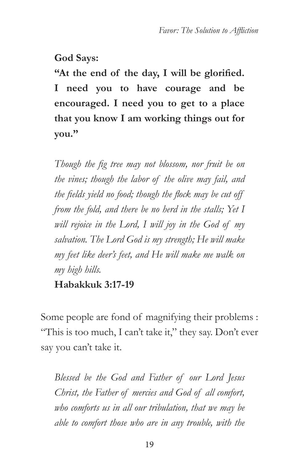### **God Says:**

**"At the end of the day, I will be glorified. I need you to have courage and be encouraged. I need you to get to a place that you know I am working things out for you."** 

*Though the fig tree may not blossom, nor fruit be on the vines; though the labor of the olive may fail, and the fields yield no food; though the flock may be cut off from the fold, and there be no herd in the stalls; Yet I will rejoice in the Lord, I will joy in the God of my salvation. The Lord God is my strength; He will make my feet like deer's feet, and He will make me walk on my high hills.* 

### **Habakkuk 3:17-19**

Some people are fond of magnifying their problems : "This is too much, I can't take it," they say. Don't ever say you can't take it.

*Blessed be the God and Father of our Lord Jesus Christ, the Father of mercies and God of all comfort, who comforts us in all our tribulation, that we may be able to comfort those who are in any trouble, with the*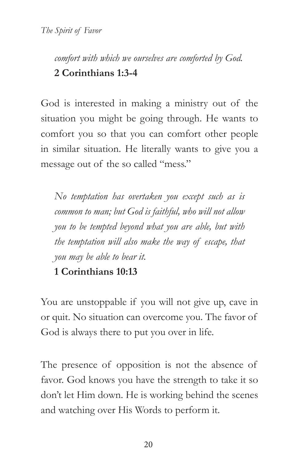## *comfort with which we ourselves are comforted by God.* **2 Corinthians 1:3-4**

God is interested in making a ministry out of the situation you might be going through. He wants to comfort you so that you can comfort other people in similar situation. He literally wants to give you a message out of the so called "mess."

*No temptation has overtaken you except such as is common to man; but God is faithful, who will not allow you to be tempted beyond what you are able, but with the temptation will also make the way of escape, that you may be able to bear it.* 

### **1 Corinthians 10:13**

You are unstoppable if you will not give up, cave in or quit. No situation can overcome you. The favor of God is always there to put you over in life.

The presence of opposition is not the absence of favor. God knows you have the strength to take it so don't let Him down. He is working behind the scenes and watching over His Words to perform it.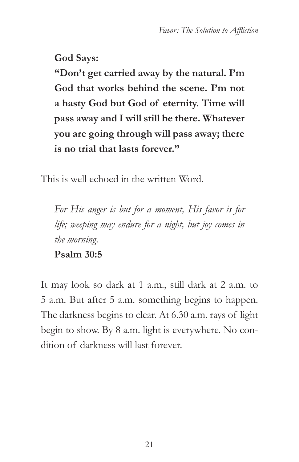*Favor: The Solution to Affliction*

**God Says:** 

**"Don't get carried away by the natural. I'm God that works behind the scene. I'm not a hasty God but God of eternity. Time will pass away and I will still be there. Whatever you are going through will pass away; there is no trial that lasts forever."** 

This is well echoed in the written Word.

*For His anger is but for a moment, His favor is for life; weeping may endure for a night, but joy comes in the morning.* 

**Psalm 30:5** 

It may look so dark at 1 a.m., still dark at 2 a.m. to 5 a.m. But after 5 a.m. something begins to happen. The darkness begins to clear. At 6.30 a.m. rays of light begin to show. By 8 a.m. light is everywhere. No condition of darkness will last forever.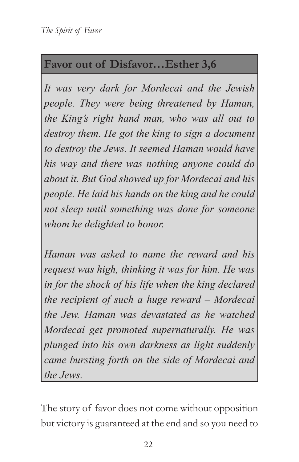### **Favor out of Disfavor…Esther 3,6**

*It was very dark for Mordecai and the Jewish people. They were being threatened by Haman, the King's right hand man, who was all out to destroy them. He got the king to sign a document to destroy the Jews. It seemed Haman would have his way and there was nothing anyone could do about it. But God showed up for Mordecai and his people. He laid his hands on the king and he could not sleep until something was done for someone whom he delighted to honor.* 

*Haman was asked to name the reward and his request was high, thinking it was for him. He was in for the shock of his life when the king declared the recipient of such a huge reward – Mordecai the Jew. Haman was devastated as he watched Mordecai get promoted supernaturally. He was plunged into his own darkness as light suddenly came bursting forth on the side of Mordecai and the Jews.*

The story of favor does not come without opposition but victory is guaranteed at the end and so you need to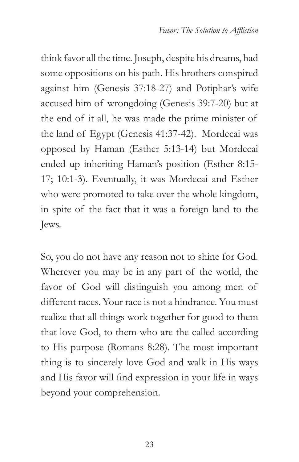think favor all the time. Joseph, despite his dreams, had some oppositions on his path. His brothers conspired against him (Genesis 37:18-27) and Potiphar's wife accused him of wrongdoing (Genesis 39:7-20) but at the end of it all, he was made the prime minister of the land of Egypt (Genesis 41:37-42). Mordecai was opposed by Haman (Esther 5:13-14) but Mordecai ended up inheriting Haman's position (Esther 8:15- 17; 10:1-3). Eventually, it was Mordecai and Esther who were promoted to take over the whole kingdom, in spite of the fact that it was a foreign land to the Jews.

So, you do not have any reason not to shine for God. Wherever you may be in any part of the world, the favor of God will distinguish you among men of different races. Your race is not a hindrance. You must realize that all things work together for good to them that love God, to them who are the called according to His purpose (Romans 8:28). The most important thing is to sincerely love God and walk in His ways and His favor will find expression in your life in ways beyond your comprehension.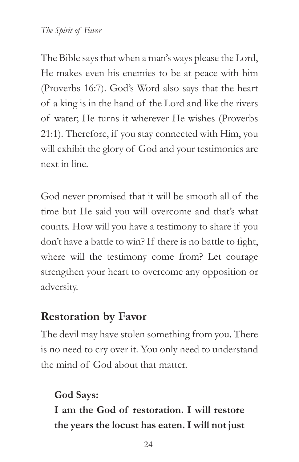*The Spirit of Favor*

The Bible says that when a man's ways please the Lord, He makes even his enemies to be at peace with him (Proverbs 16:7). God's Word also says that the heart of a king is in the hand of the Lord and like the rivers of water; He turns it wherever He wishes (Proverbs 21:1). Therefore, if you stay connected with Him, you will exhibit the glory of God and your testimonies are next in line.

God never promised that it will be smooth all of the time but He said you will overcome and that's what counts. How will you have a testimony to share if you don't have a battle to win? If there is no battle to fight, where will the testimony come from? Let courage strengthen your heart to overcome any opposition or adversity.

### **Restoration by Favor**

The devil may have stolen something from you. There is no need to cry over it. You only need to understand the mind of God about that matter.

### **God Says:**

**I am the God of restoration. I will restore the years the locust has eaten. I will not just**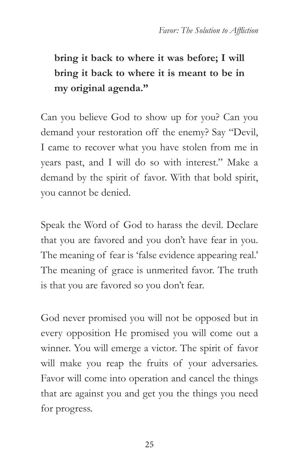# **bring it back to where it was before; I will bring it back to where it is meant to be in my original agenda."**

Can you believe God to show up for you? Can you demand your restoration off the enemy? Say "Devil, I came to recover what you have stolen from me in years past, and I will do so with interest." Make a demand by the spirit of favor. With that bold spirit, you cannot be denied.

Speak the Word of God to harass the devil. Declare that you are favored and you don't have fear in you. The meaning of fear is 'false evidence appearing real.' The meaning of grace is unmerited favor. The truth is that you are favored so you don't fear.

God never promised you will not be opposed but in every opposition He promised you will come out a winner. You will emerge a victor. The spirit of favor will make you reap the fruits of your adversaries. Favor will come into operation and cancel the things that are against you and get you the things you need for progress.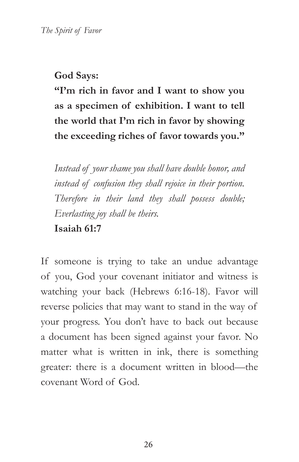### **God Says:**

**"I'm rich in favor and I want to show you as a specimen of exhibition. I want to tell the world that I'm rich in favor by showing the exceeding riches of favor towards you."** 

*Instead of your shame you shall have double honor, and instead of confusion they shall rejoice in their portion. Therefore in their land they shall possess double; Everlasting joy shall be theirs.* **Isaiah 61:7** 

If someone is trying to take an undue advantage of you, God your covenant initiator and witness is watching your back (Hebrews 6:16-18). Favor will reverse policies that may want to stand in the way of your progress. You don't have to back out because a document has been signed against your favor. No matter what is written in ink, there is something greater: there is a document written in blood—the covenant Word of God.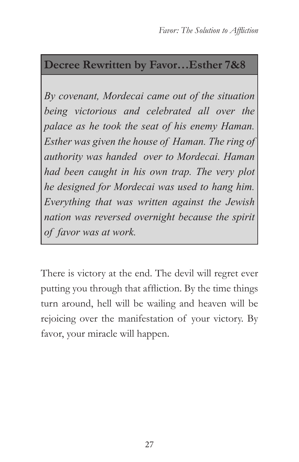### **Decree Rewritten by Favor…Esther 7&8**

*By covenant, Mordecai came out of the situation being victorious and celebrated all over the palace as he took the seat of his enemy Haman. Esther was given the house of Haman. The ring of authority was handed over to Mordecai. Haman had been caught in his own trap. The very plot he designed for Mordecai was used to hang him. Everything that was written against the Jewish nation was reversed overnight because the spirit of favor was at work.*

There is victory at the end. The devil will regret ever putting you through that affliction. By the time things turn around, hell will be wailing and heaven will be rejoicing over the manifestation of your victory. By favor, your miracle will happen.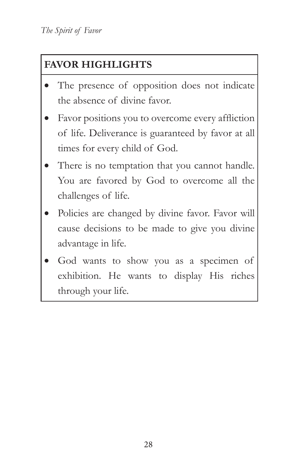## **FAVOR HIGHLIGHTS**

- The presence of opposition does not indicate the absence of divine favor.
- Favor positions you to overcome every affliction of life. Deliverance is guaranteed by favor at all times for every child of God.
- There is no temptation that you cannot handle. You are favored by God to overcome all the challenges of life.
- Policies are changed by divine favor. Favor will cause decisions to be made to give you divine advantage in life.
- God wants to show you as a specimen of exhibition. He wants to display His riches through your life.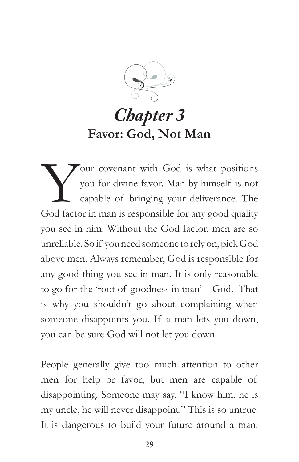

# *Chapter 3* **Favor: God, Not Man**

Your covenant with God is what positions<br>you for divine favor. Man by himself is not<br>capable of bringing your deliverance. The<br>God factor in man is responsible for any good quality you for divine favor. Man by himself is not capable of bringing your deliverance. The God factor in man is responsible for any good quality you see in him. Without the God factor, men are so unreliable. So if you need someone to rely on, pick God above men. Always remember, God is responsible for any good thing you see in man. It is only reasonable to go for the 'root of goodness in man'—God. That is why you shouldn't go about complaining when someone disappoints you. If a man lets you down, you can be sure God will not let you down.

People generally give too much attention to other men for help or favor, but men are capable of disappointing. Someone may say, "I know him, he is my uncle, he will never disappoint." This is so untrue. It is dangerous to build your future around a man.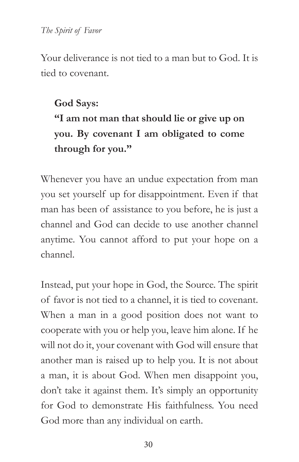*The Spirit of Favor*

Your deliverance is not tied to a man but to God. It is tied to covenant.

### **God Says:**

# **"I am not man that should lie or give up on you. By covenant I am obligated to come through for you."**

Whenever you have an undue expectation from man you set yourself up for disappointment. Even if that man has been of assistance to you before, he is just a channel and God can decide to use another channel anytime. You cannot afford to put your hope on a channel.

Instead, put your hope in God, the Source. The spirit of favor is not tied to a channel, it is tied to covenant. When a man in a good position does not want to cooperate with you or help you, leave him alone. If he will not do it, your covenant with God will ensure that another man is raised up to help you. It is not about a man, it is about God. When men disappoint you, don't take it against them. It's simply an opportunity for God to demonstrate His faithfulness. You need God more than any individual on earth.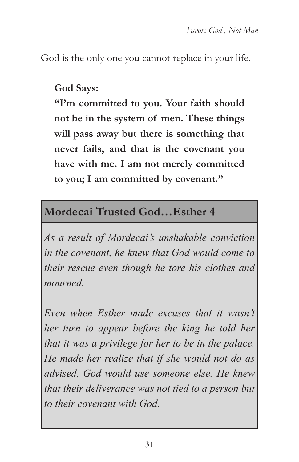God is the only one you cannot replace in your life.

#### **God Says:**

**"I'm committed to you. Your faith should not be in the system of men. These things will pass away but there is something that never fails, and that is the covenant you have with me. I am not merely committed to you; I am committed by covenant."** 

## **Mordecai Trusted God…Esther 4**

*As a result of Mordecai's unshakable conviction in the covenant, he knew that God would come to their rescue even though he tore his clothes and mourned.*

*Even when Esther made excuses that it wasn't her turn to appear before the king he told her that it was a privilege for her to be in the palace. He made her realize that if she would not do as advised, God would use someone else. He knew that their deliverance was not tied to a person but to their covenant with God.*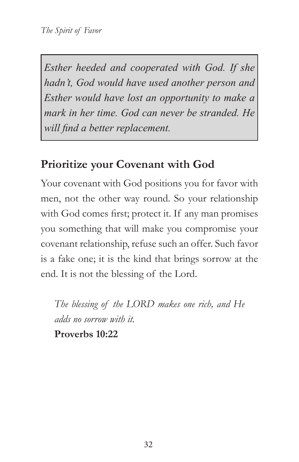*Esther heeded and cooperated with God. If she hadn't, God would have used another person and Esther would have lost an opportunity to make a mark in her time. God can never be stranded. He will find a better replacement.*

# **Prioritize your Covenant with God**

Your covenant with God positions you for favor with men, not the other way round. So your relationship with God comes first; protect it. If any man promises you something that will make you compromise your covenant relationship, refuse such an offer. Such favor is a fake one; it is the kind that brings sorrow at the end. It is not the blessing of the Lord.

*The blessing of the LORD makes one rich, and He adds no sorrow with it.*  **Proverbs 10:22**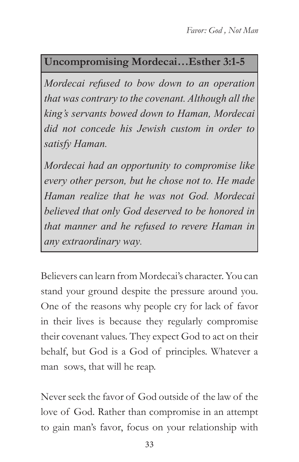### **Uncompromising Mordecai…Esther 3:1-5**

*Mordecai refused to bow down to an operation that was contrary to the covenant. Although all the king's servants bowed down to Haman, Mordecai did not concede his Jewish custom in order to satisfy Haman.*

*Mordecai had an opportunity to compromise like every other person, but he chose not to. He made Haman realize that he was not God. Mordecai believed that only God deserved to be honored in that manner and he refused to revere Haman in any extraordinary way.*

Believers can learn from Mordecai's character. You can stand your ground despite the pressure around you. One of the reasons why people cry for lack of favor in their lives is because they regularly compromise their covenant values. They expect God to act on their behalf, but God is a God of principles. Whatever a man sows, that will he reap.

Never seek the favor of God outside of the law of the love of God. Rather than compromise in an attempt to gain man's favor, focus on your relationship with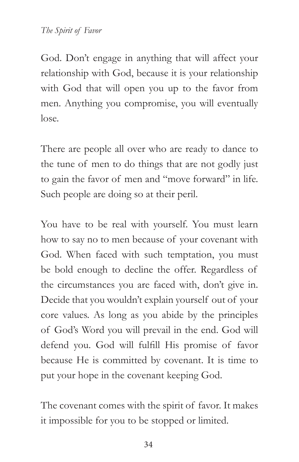*The Spirit of Favor*

God. Don't engage in anything that will affect your relationship with God, because it is your relationship with God that will open you up to the favor from men. Anything you compromise, you will eventually lose.

There are people all over who are ready to dance to the tune of men to do things that are not godly just to gain the favor of men and "move forward" in life. Such people are doing so at their peril.

You have to be real with yourself. You must learn how to say no to men because of your covenant with God. When faced with such temptation, you must be bold enough to decline the offer. Regardless of the circumstances you are faced with, don't give in. Decide that you wouldn't explain yourself out of your core values. As long as you abide by the principles of God's Word you will prevail in the end. God will defend you. God will fulfill His promise of favor because He is committed by covenant. It is time to put your hope in the covenant keeping God.

The covenant comes with the spirit of favor. It makes it impossible for you to be stopped or limited.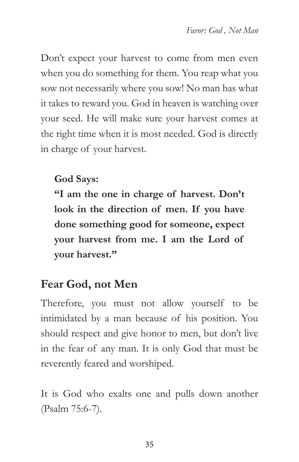Don't expect your harvest to come from men even when you do something for them. You reap what you sow not necessarily where you sow! No man has what it takes to reward you. God in heaven is watching over your seed. He will make sure your harvest comes at the right time when it is most needed. God is directly in charge of your harvest.

#### **God Says:**

**"I am the one in charge of harvest. Don't look in the direction of men. If you have done something good for someone, expect your harvest from me. I am the Lord of your harvest."** 

## **Fear God, not Men**

Therefore, you must not allow yourself to be intimidated by a man because of his position. You should respect and give honor to men, but don't live in the fear of any man. It is only God that must be reverently feared and worshiped.

It is God who exalts one and pulls down another (Psalm 75:6-7).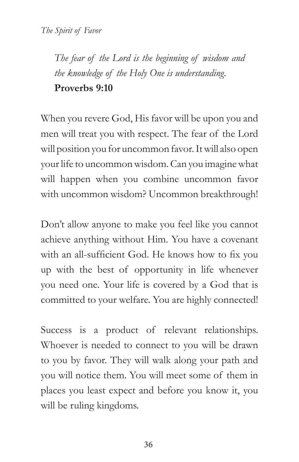*The fear of the Lord is the beginning of wisdom and the knowledge of the Holy One is understanding.*  **Proverbs 9:10** 

When you revere God, His favor will be upon you and men will treat you with respect. The fear of the Lord will position you for uncommon favor. It will also open your life to uncommon wisdom. Can you imagine what will happen when you combine uncommon favor with uncommon wisdom? Uncommon breakthrough!

Don't allow anyone to make you feel like you cannot achieve anything without Him. You have a covenant with an all-sufficient God. He knows how to fix you up with the best of opportunity in life whenever you need one. Your life is covered by a God that is committed to your welfare. You are highly connected!

Success is a product of relevant relationships. Whoever is needed to connect to you will be drawn to you by favor. They will walk along your path and you will notice them. You will meet some of them in places you least expect and before you know it, you will be ruling kingdoms.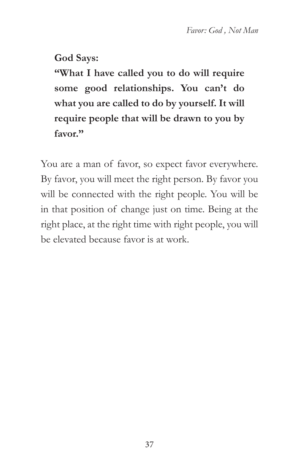#### **God Says:**

**"What I have called you to do will require some good relationships. You can't do what you are called to do by yourself. It will require people that will be drawn to you by favor."** 

You are a man of favor, so expect favor everywhere. By favor, you will meet the right person. By favor you will be connected with the right people. You will be in that position of change just on time. Being at the right place, at the right time with right people, you will be elevated because favor is at work.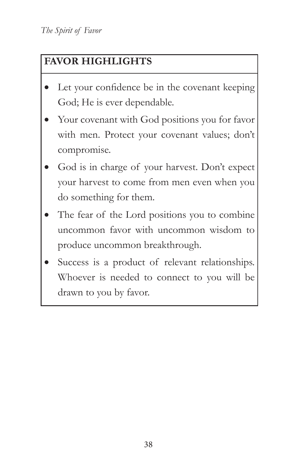## **FAVOR HIGHLIGHTS**

- Let your confidence be in the covenant keeping God; He is ever dependable.
- Your covenant with God positions you for favor with men. Protect your covenant values; don't compromise.
- God is in charge of your harvest. Don't expect your harvest to come from men even when you do something for them.
- The fear of the Lord positions you to combine uncommon favor with uncommon wisdom to produce uncommon breakthrough.
- Success is a product of relevant relationships. Whoever is needed to connect to you will be drawn to you by favor.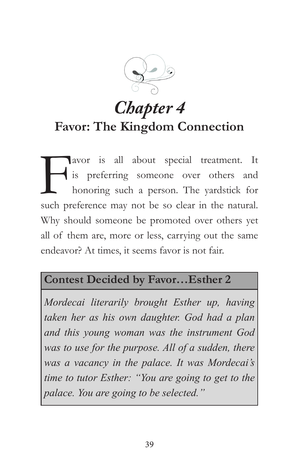

# *Chapter 4* **Favor: The Kingdom Connection**

Favor is all about special treatment. It<br>is preferring someone over others and<br>honoring such a person. The yardstick for<br>such preference may not be so clear in the natural is preferring someone over others and honoring such a person. The yardstick for such preference may not be so clear in the natural. Why should someone be promoted over others yet all of them are, more or less, carrying out the same endeavor? At times, it seems favor is not fair.

## **Contest Decided by Favor…Esther 2**

*Mordecai literarily brought Esther up, having taken her as his own daughter. God had a plan and this young woman was the instrument God was to use for the purpose. All of a sudden, there was a vacancy in the palace. It was Mordecai's time to tutor Esther: "You are going to get to the palace. You are going to be selected."*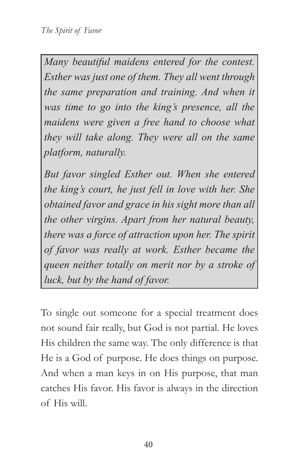*Many beautiful maidens entered for the contest. Esther was just one of them. They all went through the same preparation and training. And when it was time to go into the king's presence, all the maidens were given a free hand to choose what they will take along. They were all on the same platform, naturally.* 

*But favor singled Esther out. When she entered the king's court, he just fell in love with her. She obtained favor and grace in his sight more than all the other virgins. Apart from her natural beauty, there was a force of attraction upon her. The spirit of favor was really at work. Esther became the queen neither totally on merit nor by a stroke of luck, but by the hand of favor.*

To single out someone for a special treatment does not sound fair really, but God is not partial. He loves His children the same way. The only difference is that He is a God of purpose. He does things on purpose. And when a man keys in on His purpose, that man catches His favor. His favor is always in the direction of His will.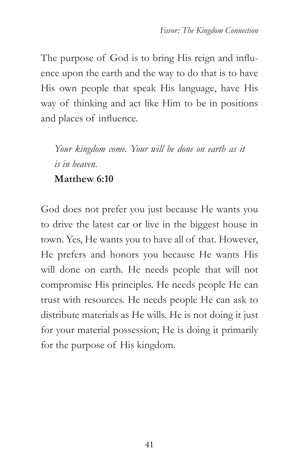The purpose of God is to bring His reign and influence upon the earth and the way to do that is to have His own people that speak His language, have His way of thinking and act like Him to be in positions and places of influence.

*Your kingdom come. Your will be done on earth as it is in heaven.* 

#### **Matthew 6:10**

God does not prefer you just because He wants you to drive the latest car or live in the biggest house in town. Yes, He wants you to have all of that. However, He prefers and honors you because He wants His will done on earth. He needs people that will not compromise His principles. He needs people He can trust with resources. He needs people He can ask to distribute materials as He wills. He is not doing it just for your material possession; He is doing it primarily for the purpose of His kingdom.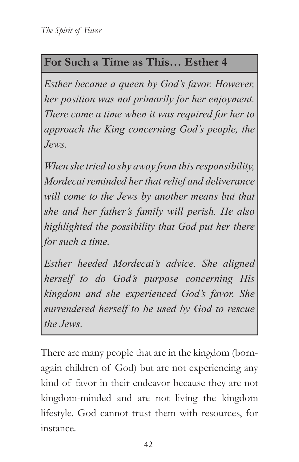## **For Such a Time as This… Esther 4**

*Esther became a queen by God's favor. However, her position was not primarily for her enjoyment. There came a time when it was required for her to approach the King concerning God's people, the Jews.*

*When she tried to shy away from this responsibility, Mordecai reminded her that relief and deliverance will come to the Jews by another means but that she and her father's family will perish. He also highlighted the possibility that God put her there for such a time.*

*Esther heeded Mordecai's advice. She aligned herself to do God's purpose concerning His kingdom and she experienced God's favor. She surrendered herself to be used by God to rescue the Jews.*

There are many people that are in the kingdom (bornagain children of God) but are not experiencing any kind of favor in their endeavor because they are not kingdom-minded and are not living the kingdom lifestyle. God cannot trust them with resources, for instance.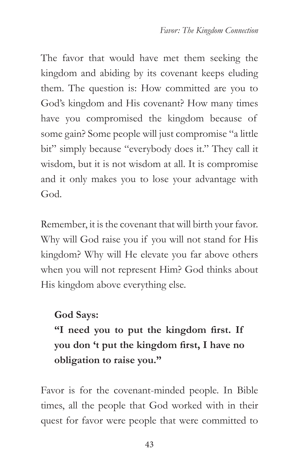The favor that would have met them seeking the kingdom and abiding by its covenant keeps eluding them. The question is: How committed are you to God's kingdom and His covenant? How many times have you compromised the kingdom because of some gain? Some people will just compromise "a little bit" simply because "everybody does it." They call it wisdom, but it is not wisdom at all. It is compromise and it only makes you to lose your advantage with God.

Remember, it is the covenant that will birth your favor. Why will God raise you if you will not stand for His kingdom? Why will He elevate you far above others when you will not represent Him? God thinks about His kingdom above everything else.

#### **God Says:**

**"I need you to put the kingdom first. If you don 't put the kingdom first, I have no obligation to raise you."** 

Favor is for the covenant-minded people. In Bible times, all the people that God worked with in their quest for favor were people that were committed to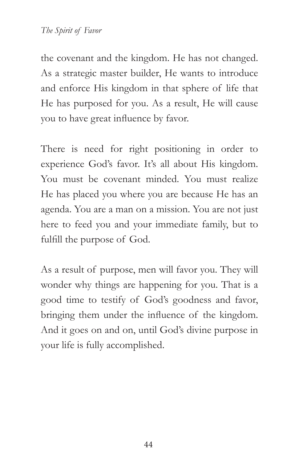#### *The Spirit of Favor*

the covenant and the kingdom. He has not changed. As a strategic master builder, He wants to introduce and enforce His kingdom in that sphere of life that He has purposed for you. As a result, He will cause you to have great influence by favor.

There is need for right positioning in order to experience God's favor. It's all about His kingdom. You must be covenant minded. You must realize He has placed you where you are because He has an agenda. You are a man on a mission. You are not just here to feed you and your immediate family, but to fulfill the purpose of God.

As a result of purpose, men will favor you. They will wonder why things are happening for you. That is a good time to testify of God's goodness and favor, bringing them under the influence of the kingdom. And it goes on and on, until God's divine purpose in your life is fully accomplished.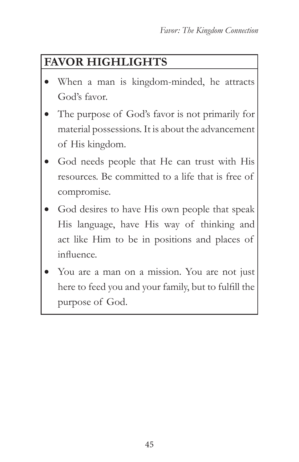# **FAVOR HIGHLIGHTS**

- When a man is kingdom-minded, he attracts God's favor.
- The purpose of God's favor is not primarily for material possessions. It is about the advancement of His kingdom.
- God needs people that He can trust with His resources. Be committed to a life that is free of compromise.
- God desires to have His own people that speak His language, have His way of thinking and act like Him to be in positions and places of influence.
- You are a man on a mission. You are not just here to feed you and your family, but to fulfill the purpose of God.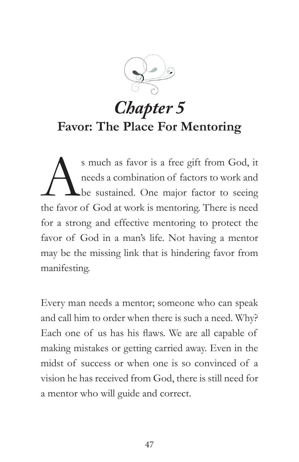

# *Chapter 5* **Favor: The Place For Mentoring**

s much as favor is a free gift from God, it<br>needs a combination of factors to work and<br>be sustained. One major factor to seeing<br>the favor of God at work is mentoring. There is need needs a combination of factors to work and be sustained. One major factor to seeing the favor of God at work is mentoring. There is need for a strong and effective mentoring to protect the favor of God in a man's life. Not having a mentor may be the missing link that is hindering favor from manifesting.

Every man needs a mentor; someone who can speak and call him to order when there is such a need. Why? Each one of us has his flaws. We are all capable of making mistakes or getting carried away. Even in the midst of success or when one is so convinced of a vision he has received from God, there is still need for a mentor who will guide and correct.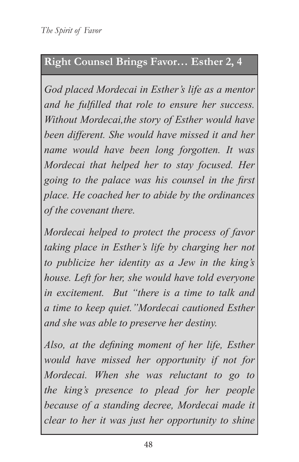### **Right Counsel Brings Favor… Esther 2, 4**

*God placed Mordecai in Esther's life as a mentor and he fulfilled that role to ensure her success. Without Mordecai,the story of Esther would have been different. She would have missed it and her name would have been long forgotten. It was Mordecai that helped her to stay focused. Her going to the palace was his counsel in the first place. He coached her to abide by the ordinances of the covenant there.* 

*Mordecai helped to protect the process of favor taking place in Esther's life by charging her not to publicize her identity as a Jew in the king's house. Left for her, she would have told everyone in excitement. But "there is a time to talk and a time to keep quiet."Mordecai cautioned Esther and she was able to preserve her destiny.* 

*Also, at the defining moment of her life, Esther would have missed her opportunity if not for Mordecai. When she was reluctant to go to the king's presence to plead for her people because of a standing decree, Mordecai made it clear to her it was just her opportunity to shine*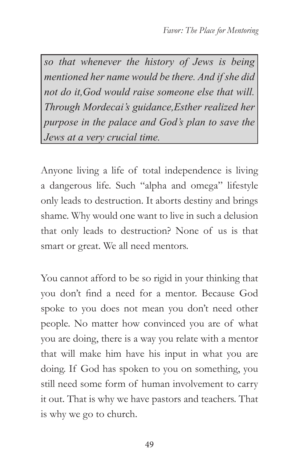*so that whenever the history of Jews is being mentioned her name would be there. And if she did not do it,God would raise someone else that will. Through Mordecai's guidance,Esther realized her purpose in the palace and God's plan to save the Jews at a very crucial time.*

Anyone living a life of total independence is living a dangerous life. Such "alpha and omega" lifestyle only leads to destruction. It aborts destiny and brings shame. Why would one want to live in such a delusion that only leads to destruction? None of us is that smart or great. We all need mentors.

You cannot afford to be so rigid in your thinking that you don't find a need for a mentor. Because God spoke to you does not mean you don't need other people. No matter how convinced you are of what you are doing, there is a way you relate with a mentor that will make him have his input in what you are doing. If God has spoken to you on something, you still need some form of human involvement to carry it out. That is why we have pastors and teachers. That is why we go to church.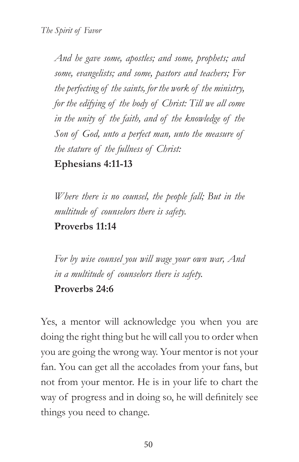*And he gave some, apostles; and some, prophets; and some, evangelists; and some, pastors and teachers; For the perfecting of the saints, for the work of the ministry, for the edifying of the body of Christ: Till we all come in the unity of the faith, and of the knowledge of the Son of God, unto a perfect man, unto the measure of the stature of the fullness of Christ:*  **Ephesians 4:11-13** 

*Where there is no counsel, the people fall; But in the multitude of counselors there is safety.*  **Proverbs 11:14**

*For by wise counsel you will wage your own war, And in a multitude of counselors there is safety.*  **Proverbs 24:6**

Yes, a mentor will acknowledge you when you are doing the right thing but he will call you to order when you are going the wrong way. Your mentor is not your fan. You can get all the accolades from your fans, but not from your mentor. He is in your life to chart the way of progress and in doing so, he will definitely see things you need to change.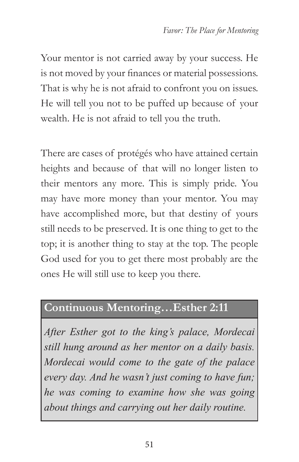Your mentor is not carried away by your success. He is not moved by your finances or material possessions. That is why he is not afraid to confront you on issues. He will tell you not to be puffed up because of your wealth. He is not afraid to tell you the truth.

There are cases of protégés who have attained certain heights and because of that will no longer listen to their mentors any more. This is simply pride. You may have more money than your mentor. You may have accomplished more, but that destiny of yours still needs to be preserved. It is one thing to get to the top; it is another thing to stay at the top. The people God used for you to get there most probably are the ones He will still use to keep you there.

## **Continuous Mentoring…Esther 2:11**

*After Esther got to the king's palace, Mordecai still hung around as her mentor on a daily basis. Mordecai would come to the gate of the palace every day. And he wasn't just coming to have fun; he was coming to examine how she was going about things and carrying out her daily routine.*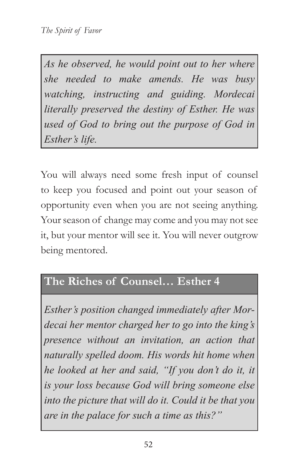*As he observed, he would point out to her where she needed to make amends. He was busy watching, instructing and guiding. Mordecai literally preserved the destiny of Esther. He was used of God to bring out the purpose of God in Esther's life.*

You will always need some fresh input of counsel to keep you focused and point out your season of opportunity even when you are not seeing anything. Your season of change may come and you may not see it, but your mentor will see it. You will never outgrow being mentored.

## **The Riches of Counsel… Esther 4**

*Esther's position changed immediately after Mordecai her mentor charged her to go into the king's presence without an invitation, an action that naturally spelled doom. His words hit home when he looked at her and said, "If you don't do it, it is your loss because God will bring someone else into the picture that will do it. Could it be that you are in the palace for such a time as this?"*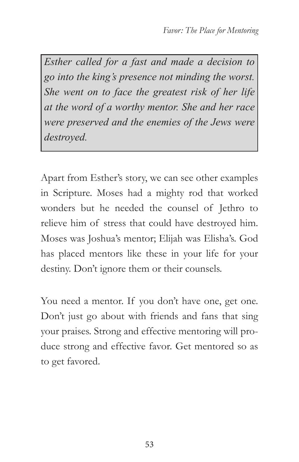*Esther called for a fast and made a decision to go into the king's presence not minding the worst. She went on to face the greatest risk of her life at the word of a worthy mentor. She and her race were preserved and the enemies of the Jews were destroyed.*

Apart from Esther's story, we can see other examples in Scripture. Moses had a mighty rod that worked wonders but he needed the counsel of Jethro to relieve him of stress that could have destroyed him. Moses was Joshua's mentor; Elijah was Elisha's. God has placed mentors like these in your life for your destiny. Don't ignore them or their counsels.

You need a mentor. If you don't have one, get one. Don't just go about with friends and fans that sing your praises. Strong and effective mentoring will produce strong and effective favor. Get mentored so as to get favored.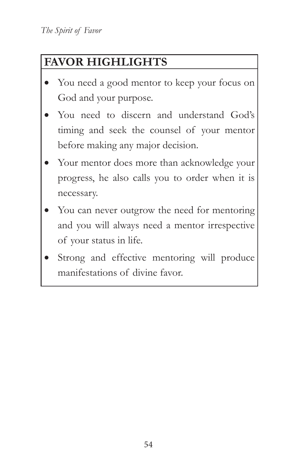# **FAVOR HIGHLIGHTS**

- You need a good mentor to keep your focus on God and your purpose.
- You need to discern and understand God's timing and seek the counsel of your mentor before making any major decision.
- Your mentor does more than acknowledge your progress, he also calls you to order when it is necessary.
- You can never outgrow the need for mentoring and you will always need a mentor irrespective of your status in life.
- Strong and effective mentoring will produce manifestations of divine favor.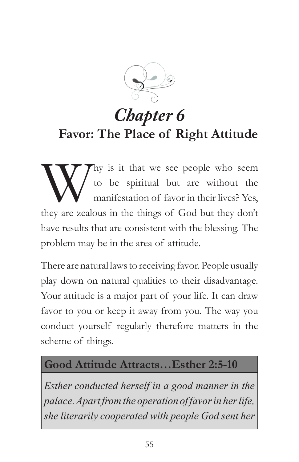

# *Chapter 6* **Favor: The Place of Right Attitude**

Why is it that we see people who seem<br>to be spiritual but are without the<br>manifestation of favor in their lives? Yes,<br>they are zealous in the things of God but they don't to be spiritual but are without the manifestation of favor in their lives? Yes, they are zealous in the things of God but they don't have results that are consistent with the blessing. The problem may be in the area of attitude.

There are natural laws to receiving favor. People usually play down on natural qualities to their disadvantage. Your attitude is a major part of your life. It can draw favor to you or keep it away from you. The way you conduct yourself regularly therefore matters in the scheme of things.

# **Good Attitude Attracts…Esther 2:5-10**

*Esther conducted herself in a good manner in the palace. Apart from the operation of favor in her life, she literarily cooperated with people God sent her*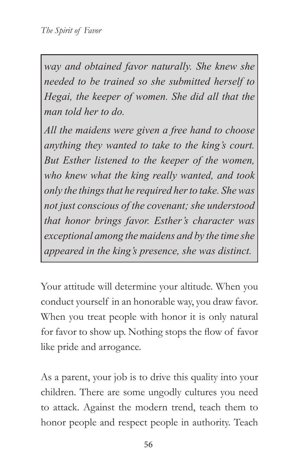*way and obtained favor naturally. She knew she needed to be trained so she submitted herself to Hegai, the keeper of women. She did all that the man told her to do.* 

*All the maidens were given a free hand to choose anything they wanted to take to the king's court. But Esther listened to the keeper of the women, who knew what the king really wanted, and took only the things that he required her to take. She was not just conscious of the covenant; she understood that honor brings favor. Esther's character was exceptional among the maidens and by the time she appeared in the king's presence, she was distinct.*

Your attitude will determine your altitude. When you conduct yourself in an honorable way, you draw favor. When you treat people with honor it is only natural for favor to show up. Nothing stops the flow of favor like pride and arrogance.

As a parent, your job is to drive this quality into your children. There are some ungodly cultures you need to attack. Against the modern trend, teach them to honor people and respect people in authority. Teach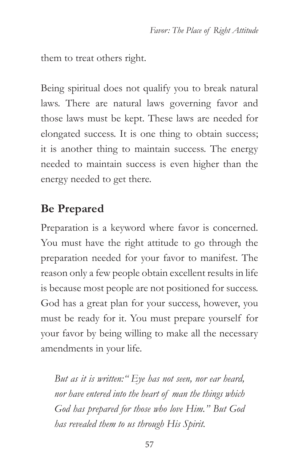them to treat others right.

Being spiritual does not qualify you to break natural laws. There are natural laws governing favor and those laws must be kept. These laws are needed for elongated success. It is one thing to obtain success; it is another thing to maintain success. The energy needed to maintain success is even higher than the energy needed to get there.

## **Be Prepared**

Preparation is a keyword where favor is concerned. You must have the right attitude to go through the preparation needed for your favor to manifest. The reason only a few people obtain excellent results in life is because most people are not positioned for success. God has a great plan for your success, however, you must be ready for it. You must prepare yourself for your favor by being willing to make all the necessary amendments in your life.

*But as it is written:" Eye has not seen, nor ear heard, nor have entered into the heart of man the things which God has prepared for those who love Him." But God has revealed them to us through His Spirit.*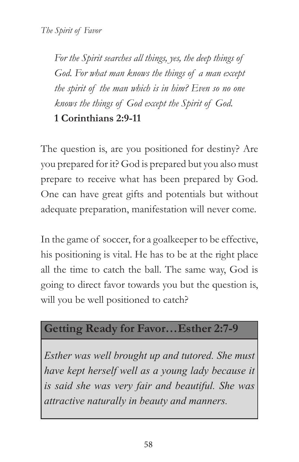*For the Spirit searches all things, yes, the deep things of God. For what man knows the things of a man except the spirit of the man which is in him? Even so no one knows the things of God except the Spirit of God.* **1 Corinthians 2:9-11** 

The question is, are you positioned for destiny? Are you prepared for it? God is prepared but you also must prepare to receive what has been prepared by God. One can have great gifts and potentials but without adequate preparation, manifestation will never come.

In the game of soccer, for a goalkeeper to be effective, his positioning is vital. He has to be at the right place all the time to catch the ball. The same way, God is going to direct favor towards you but the question is, will you be well positioned to catch?

## **Getting Ready for Favor…Esther 2:7-9**

*Esther was well brought up and tutored. She must have kept herself well as a young lady because it is said she was very fair and beautiful. She was attractive naturally in beauty and manners.*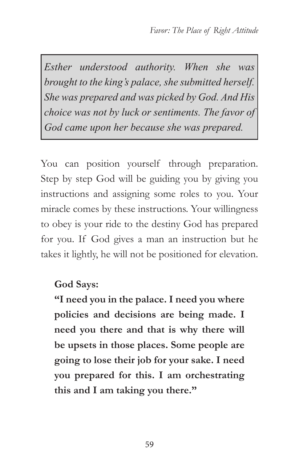*Esther understood authority. When she was brought to the king's palace, she submitted herself. She was prepared and was picked by God. And His choice was not by luck or sentiments. The favor of God came upon her because she was prepared.*

You can position yourself through preparation. Step by step God will be guiding you by giving you instructions and assigning some roles to you. Your miracle comes by these instructions. Your willingness to obey is your ride to the destiny God has prepared for you. If God gives a man an instruction but he takes it lightly, he will not be positioned for elevation.

#### **God Says:**

**"I need you in the palace. I need you where policies and decisions are being made. I need you there and that is why there will be upsets in those places. Some people are going to lose their job for your sake. I need you prepared for this. I am orchestrating this and I am taking you there."**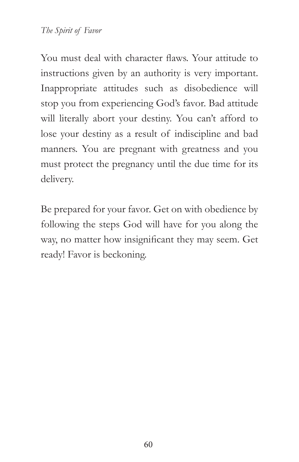#### *The Spirit of Favor*

You must deal with character flaws. Your attitude to instructions given by an authority is very important. Inappropriate attitudes such as disobedience will stop you from experiencing God's favor. Bad attitude will literally abort your destiny. You can't afford to lose your destiny as a result of indiscipline and bad manners. You are pregnant with greatness and you must protect the pregnancy until the due time for its delivery.

Be prepared for your favor. Get on with obedience by following the steps God will have for you along the way, no matter how insignificant they may seem. Get ready! Favor is beckoning.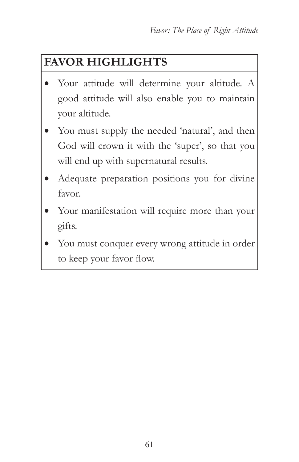# **FAVOR HIGHLIGHTS**

- Your attitude will determine your altitude. A good attitude will also enable you to maintain your altitude.
- You must supply the needed 'natural', and then God will crown it with the 'super', so that you will end up with supernatural results.
- Adequate preparation positions you for divine favor.
- Your manifestation will require more than your gifts.
- You must conquer every wrong attitude in order to keep your favor flow.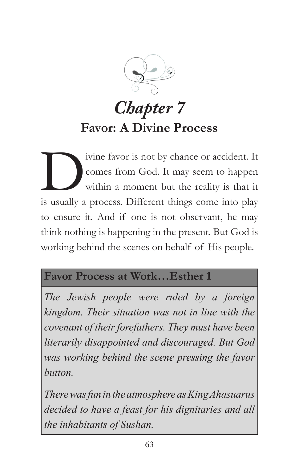

# *Chapter 7* **Favor: A Divine Process**

ivine favor is not by chance or accident. It comes from God. It may seem to happen within a moment but the reality is that it is usually a process. Different things come into play to ensure it. And if one is not observant, he may think nothing is happening in the present. But God is working behind the scenes on behalf of His people.

## **Favor Process at Work…Esther 1**

*The Jewish people were ruled by a foreign kingdom. Their situation was not in line with the covenant of their forefathers. They must have been literarily disappointed and discouraged. But God was working behind the scene pressing the favor button.* 

*There was fun in the atmosphere as King Ahasuarus decided to have a feast for his dignitaries and all the inhabitants of Sushan.*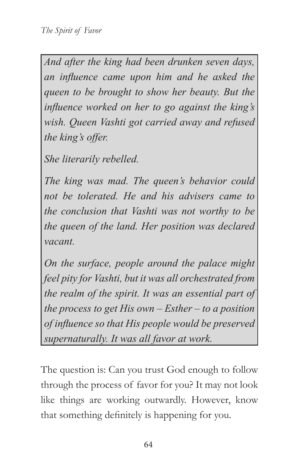*And after the king had been drunken seven days, an influence came upon him and he asked the queen to be brought to show her beauty. But the influence worked on her to go against the king's wish. Queen Vashti got carried away and refused the king's offer.* 

*She literarily rebelled.* 

*The king was mad. The queen's behavior could not be tolerated. He and his advisers came to the conclusion that Vashti was not worthy to be the queen of the land. Her position was declared vacant.* 

*On the surface, people around the palace might feel pity for Vashti, but it was all orchestrated from the realm of the spirit. It was an essential part of the process to get His own – Esther – to a position of influence so that His people would be preserved supernaturally. It was all favor at work.*

The question is: Can you trust God enough to follow through the process of favor for you? It may not look like things are working outwardly. However, know that something definitely is happening for you.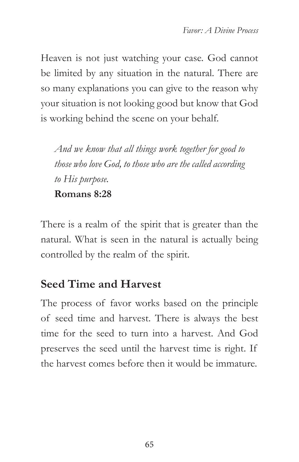Heaven is not just watching your case. God cannot be limited by any situation in the natural. There are so many explanations you can give to the reason why your situation is not looking good but know that God is working behind the scene on your behalf.

*And we know that all things work together for good to those who love God, to those who are the called according to His purpose.* **Romans 8:28** 

There is a realm of the spirit that is greater than the natural. What is seen in the natural is actually being controlled by the realm of the spirit.

## **Seed Time and Harvest**

The process of favor works based on the principle of seed time and harvest. There is always the best time for the seed to turn into a harvest. And God preserves the seed until the harvest time is right. If the harvest comes before then it would be immature.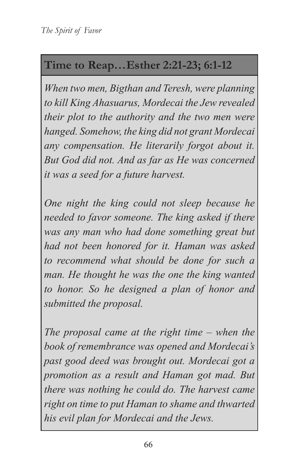## **Time to Reap…Esther 2:21-23; 6:1-12**

*When two men, Bigthan and Teresh, were planning to kill King Ahasuarus, Mordecai the Jew revealed their plot to the authority and the two men were hanged. Somehow, the king did not grant Mordecai any compensation. He literarily forgot about it. But God did not. And as far as He was concerned it was a seed for a future harvest.*

*One night the king could not sleep because he needed to favor someone. The king asked if there was any man who had done something great but had not been honored for it. Haman was asked to recommend what should be done for such a man. He thought he was the one the king wanted to honor. So he designed a plan of honor and submitted the proposal.* 

*The proposal came at the right time – when the book of remembrance was opened and Mordecai's past good deed was brought out. Mordecai got a promotion as a result and Haman got mad. But there was nothing he could do. The harvest came right on time to put Haman to shame and thwarted his evil plan for Mordecai and the Jews.*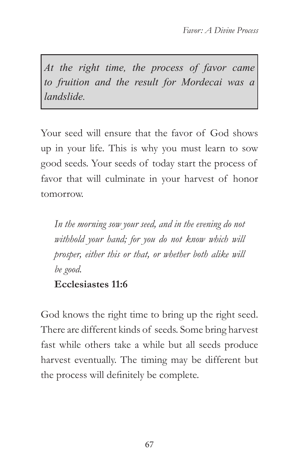*At the right time, the process of favor came to fruition and the result for Mordecai was a landslide.*

Your seed will ensure that the favor of God shows up in your life. This is why you must learn to sow good seeds. Your seeds of today start the process of favor that will culminate in your harvest of honor tomorrow.

*In the morning sow your seed, and in the evening do not withhold your hand; for you do not know which will prosper, either this or that, or whether both alike will be good.* 

#### **Ecclesiastes 11:6**

God knows the right time to bring up the right seed. There are different kinds of seeds. Some bring harvest fast while others take a while but all seeds produce harvest eventually. The timing may be different but the process will definitely be complete.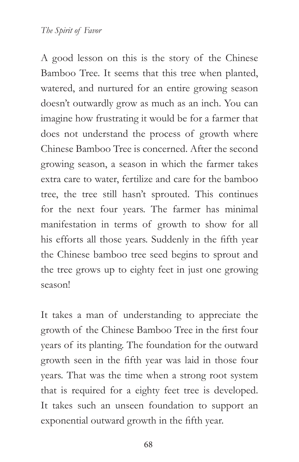A good lesson on this is the story of the Chinese Bamboo Tree. It seems that this tree when planted, watered, and nurtured for an entire growing season doesn't outwardly grow as much as an inch. You can imagine how frustrating it would be for a farmer that does not understand the process of growth where Chinese Bamboo Tree is concerned. After the second growing season, a season in which the farmer takes extra care to water, fertilize and care for the bamboo tree, the tree still hasn't sprouted. This continues for the next four years. The farmer has minimal manifestation in terms of growth to show for all his efforts all those years. Suddenly in the fifth year the Chinese bamboo tree seed begins to sprout and the tree grows up to eighty feet in just one growing season!

It takes a man of understanding to appreciate the growth of the Chinese Bamboo Tree in the first four years of its planting. The foundation for the outward growth seen in the fifth year was laid in those four years. That was the time when a strong root system that is required for a eighty feet tree is developed. It takes such an unseen foundation to support an exponential outward growth in the fifth year.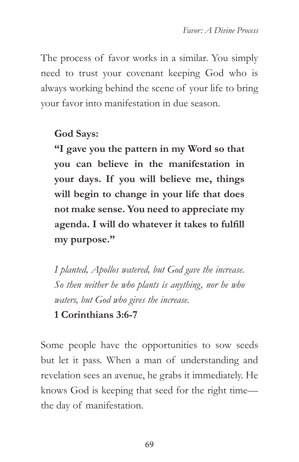The process of favor works in a similar. You simply need to trust your covenant keeping God who is always working behind the scene of your life to bring your favor into manifestation in due season.

#### **God Says:**

**"I gave you the pattern in my Word so that you can believe in the manifestation in your days. If you will believe me, things will begin to change in your life that does not make sense. You need to appreciate my agenda. I will do whatever it takes to fulfill my purpose."** 

*I planted, Apollos watered, but God gave the increase. So then neither he who plants is anything, nor he who waters, but God who gives the increase.*

#### **1 Corinthians 3:6-7**

Some people have the opportunities to sow seeds but let it pass. When a man of understanding and revelation sees an avenue, he grabs it immediately. He knows God is keeping that seed for the right time the day of manifestation.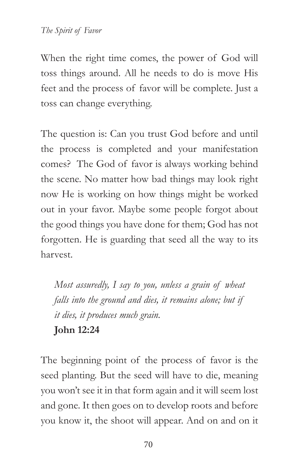When the right time comes, the power of God will toss things around. All he needs to do is move His feet and the process of favor will be complete. Just a toss can change everything.

The question is: Can you trust God before and until the process is completed and your manifestation comes? The God of favor is always working behind the scene. No matter how bad things may look right now He is working on how things might be worked out in your favor. Maybe some people forgot about the good things you have done for them; God has not forgotten. He is guarding that seed all the way to its harvest.

*Most assuredly, I say to you, unless a grain of wheat falls into the ground and dies, it remains alone; but if it dies, it produces much grain.* **John 12:24** 

The beginning point of the process of favor is the seed planting. But the seed will have to die, meaning you won't see it in that form again and it will seem lost and gone. It then goes on to develop roots and before you know it, the shoot will appear. And on and on it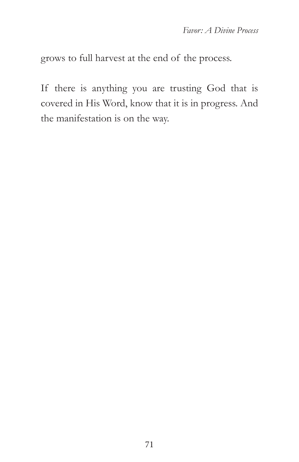grows to full harvest at the end of the process.

If there is anything you are trusting God that is covered in His Word, know that it is in progress. And the manifestation is on the way.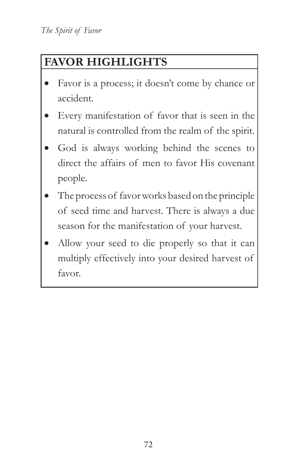## **FAVOR HIGHLIGHTS**

- Favor is a process; it doesn't come by chance or accident.
- Every manifestation of favor that is seen in the natural is controlled from the realm of the spirit.
- God is always working behind the scenes to direct the affairs of men to favor His covenant people.
- The process of favor works based on the principle of seed time and harvest. There is always a due season for the manifestation of your harvest.
- Allow your seed to die properly so that it can multiply effectively into your desired harvest of favor.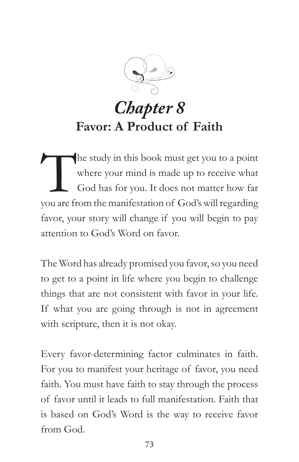

# *Chapter 8* **Favor: A Product of Faith**

The study in this book must get you to a point<br>where your mind is made up to receive what<br>God has for you. It does not matter how far<br>wou are from the manifestation of God's will regarding where your mind is made up to receive what God has for you. It does not matter how far you are from the manifestation of God's will regarding favor, your story will change if you will begin to pay attention to God's Word on favor.

The Word has already promised you favor, so you need to get to a point in life where you begin to challenge things that are not consistent with favor in your life. If what you are going through is not in agreement with scripture, then it is not okay.

Every favor-determining factor culminates in faith. For you to manifest your heritage of favor, you need faith. You must have faith to stay through the process of favor until it leads to full manifestation. Faith that is based on God's Word is the way to receive favor from God.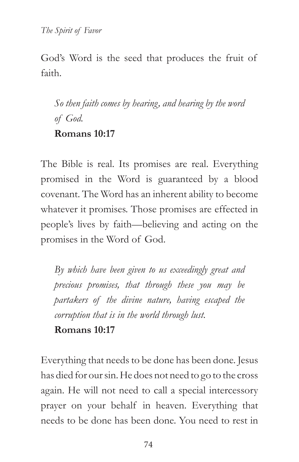God's Word is the seed that produces the fruit of faith.

*So then faith comes by hearing, and hearing by the word of God.* **Romans 10:17** 

The Bible is real. Its promises are real. Everything promised in the Word is guaranteed by a blood covenant. The Word has an inherent ability to become whatever it promises. Those promises are effected in people's lives by faith—believing and acting on the promises in the Word of God.

*By which have been given to us exceedingly great and precious promises, that through these you may be partakers of the divine nature, having escaped the corruption that is in the world through lust.* **Romans 10:17** 

Everything that needs to be done has been done. Jesus has died for our sin. He does not need to go to the cross again. He will not need to call a special intercessory prayer on your behalf in heaven. Everything that needs to be done has been done. You need to rest in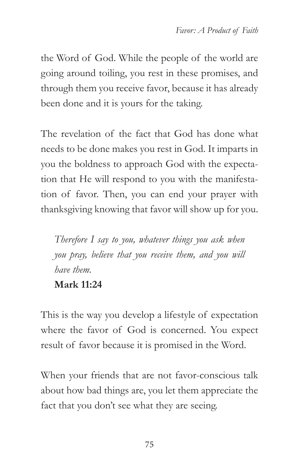the Word of God. While the people of the world are going around toiling, you rest in these promises, and through them you receive favor, because it has already been done and it is yours for the taking.

The revelation of the fact that God has done what needs to be done makes you rest in God. It imparts in you the boldness to approach God with the expectation that He will respond to you with the manifestation of favor. Then, you can end your prayer with thanksgiving knowing that favor will show up for you.

*Therefore I say to you, whatever things you ask when you pray, believe that you receive them, and you will have them.*

#### **Mark 11:24**

This is the way you develop a lifestyle of expectation where the favor of God is concerned. You expect result of favor because it is promised in the Word.

When your friends that are not favor-conscious talk about how bad things are, you let them appreciate the fact that you don't see what they are seeing.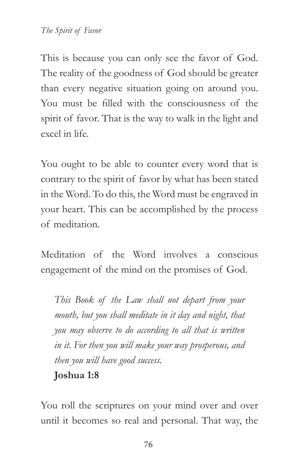*The Spirit of Favor*

This is because you can only see the favor of God. The reality of the goodness of God should be greater than every negative situation going on around you. You must be filled with the consciousness of the spirit of favor. That is the way to walk in the light and excel in life.

You ought to be able to counter every word that is contrary to the spirit of favor by what has been stated in the Word. To do this, the Word must be engraved in your heart. This can be accomplished by the process of meditation.

Meditation of the Word involves a conscious engagement of the mind on the promises of God.

*This Book of the Law shall not depart from your mouth, but you shall meditate in it day and night, that you may observe to do according to all that is written in it. For then you will make your way prosperous, and then you will have good success.* 

**Joshua 1:8**

You roll the scriptures on your mind over and over until it becomes so real and personal. That way, the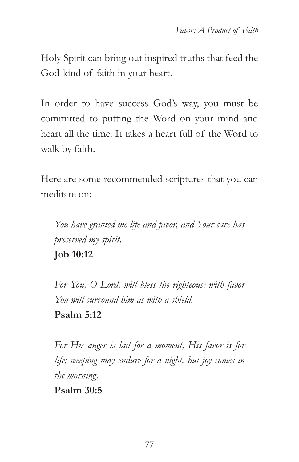Holy Spirit can bring out inspired truths that feed the God-kind of faith in your heart.

In order to have success God's way, you must be committed to putting the Word on your mind and heart all the time. It takes a heart full of the Word to walk by faith.

Here are some recommended scriptures that you can meditate on:

*You have granted me life and favor, and Your care has preserved my spirit.*

**Job 10:12** 

*For You, O Lord, will bless the righteous; with favor You will surround him as with a shield.*

#### **Psalm 5:12**

*For His anger is but for a moment, His favor is for life; weeping may endure for a night, but joy comes in the morning.* 

**Psalm 30:5**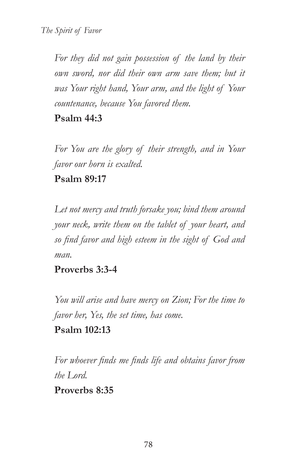*For they did not gain possession of the land by their own sword, nor did their own arm save them; but it was Your right hand, Your arm, and the light of Your countenance, because You favored them.* 

**Psalm 44:3** 

*For You are the glory of their strength, and in Your favor our horn is exalted.*

#### **Psalm 89:17**

*Let not mercy and truth forsake you; bind them around your neck, write them on the tablet of your heart, and so find favor and high esteem in the sight of God and man.* 

**Proverbs 3:3-4** 

*You will arise and have mercy on Zion; For the time to favor her, Yes, the set time, has come.* **Psalm 102:13** 

*For whoever finds me finds life and obtains favor from the Lord.*  **Proverbs 8:35**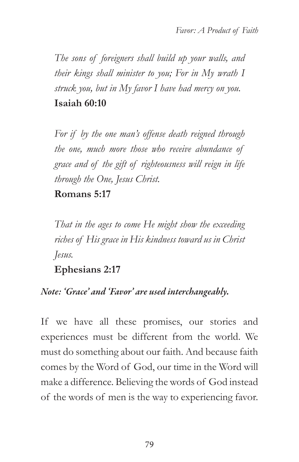*The sons of foreigners shall build up your walls, and their kings shall minister to you; For in My wrath I struck you, but in My favor I have had mercy on you.*  **Isaiah 60:10** 

*For if by the one man's offense death reigned through the one, much more those who receive abundance of grace and of the gift of righteousness will reign in life through the One, Jesus Christ.*

**Romans 5:17**

*That in the ages to come He might show the exceeding riches of His grace in His kindness toward us in Christ Jesus.*

**Ephesians 2:17**

#### *Note: 'Grace' and 'Favor' are used interchangeably.*

If we have all these promises, our stories and experiences must be different from the world. We must do something about our faith. And because faith comes by the Word of God, our time in the Word will make a difference. Believing the words of God instead of the words of men is the way to experiencing favor.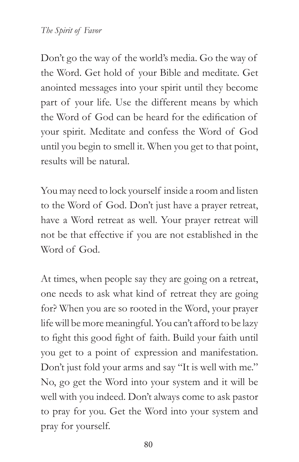#### *The Spirit of Favor*

Don't go the way of the world's media. Go the way of the Word. Get hold of your Bible and meditate. Get anointed messages into your spirit until they become part of your life. Use the different means by which the Word of God can be heard for the edification of your spirit. Meditate and confess the Word of God until you begin to smell it. When you get to that point, results will be natural.

You may need to lock yourself inside a room and listen to the Word of God. Don't just have a prayer retreat, have a Word retreat as well. Your prayer retreat will not be that effective if you are not established in the Word of God.

At times, when people say they are going on a retreat, one needs to ask what kind of retreat they are going for? When you are so rooted in the Word, your prayer life will be more meaningful. You can't afford to be lazy to fight this good fight of faith. Build your faith until you get to a point of expression and manifestation. Don't just fold your arms and say "It is well with me." No, go get the Word into your system and it will be well with you indeed. Don't always come to ask pastor to pray for you. Get the Word into your system and pray for yourself.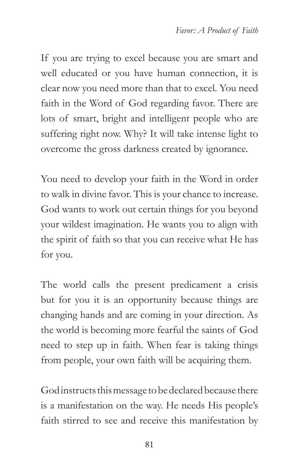If you are trying to excel because you are smart and well educated or you have human connection, it is clear now you need more than that to excel. You need faith in the Word of God regarding favor. There are lots of smart, bright and intelligent people who are suffering right now. Why? It will take intense light to overcome the gross darkness created by ignorance.

You need to develop your faith in the Word in order to walk in divine favor. This is your chance to increase. God wants to work out certain things for you beyond your wildest imagination. He wants you to align with the spirit of faith so that you can receive what He has for you.

The world calls the present predicament a crisis but for you it is an opportunity because things are changing hands and are coming in your direction. As the world is becoming more fearful the saints of God need to step up in faith. When fear is taking things from people, your own faith will be acquiring them.

God instructs this message to be declared because there is a manifestation on the way. He needs His people's faith stirred to see and receive this manifestation by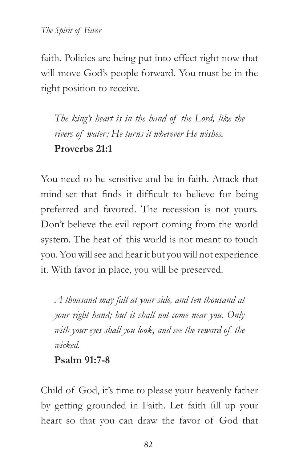faith. Policies are being put into effect right now that will move God's people forward. You must be in the right position to receive.

*The king's heart is in the hand of the Lord, like the rivers of water; He turns it wherever He wishes.* **Proverbs 21:1** 

You need to be sensitive and be in faith. Attack that mind-set that finds it difficult to believe for being preferred and favored. The recession is not yours. Don't believe the evil report coming from the world system. The heat of this world is not meant to touch you. You will see and hear it but you will not experience it. With favor in place, you will be preserved.

*A thousand may fall at your side, and ten thousand at your right hand; but it shall not come near you. Only with your eyes shall you look, and see the reward of the wicked.*

#### **Psalm 91:7-8**

Child of God, it's time to please your heavenly father by getting grounded in Faith. Let faith fill up your heart so that you can draw the favor of God that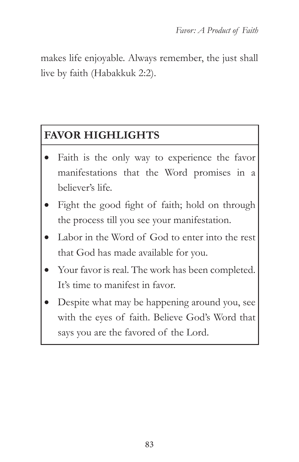makes life enjoyable. Always remember, the just shall live by faith (Habakkuk 2:2).

## **FAVOR HIGHLIGHTS**

- Faith is the only way to experience the favor manifestations that the Word promises in a believer's life.
- Fight the good fight of faith; hold on through the process till you see your manifestation.
- Labor in the Word of God to enter into the rest that God has made available for you.
- Your favor is real. The work has been completed. It's time to manifest in favor.
- Despite what may be happening around you, see with the eyes of faith. Believe God's Word that says you are the favored of the Lord.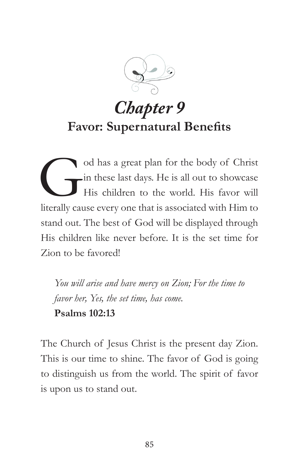

# *Chapter 9* **Favor: Supernatural Benefits**

od has a great plan for the body of Christ<br>in these last days. He is all out to showcase<br>His children to the world. His favor will<br>literally cause every one that is associated with Him to in these last days. He is all out to showcase His children to the world. His favor will literally cause every one that is associated with Him to stand out. The best of God will be displayed through His children like never before. It is the set time for Zion to be favored!

*You will arise and have mercy on Zion; For the time to favor her, Yes, the set time, has come.*  **Psalms 102:13**

The Church of Jesus Christ is the present day Zion. This is our time to shine. The favor of God is going to distinguish us from the world. The spirit of favor is upon us to stand out.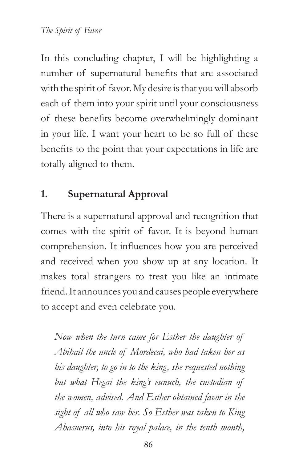*The Spirit of Favor*

In this concluding chapter, I will be highlighting a number of supernatural benefits that are associated with the spirit of favor. My desire is that you will absorb each of them into your spirit until your consciousness of these benefits become overwhelmingly dominant in your life. I want your heart to be so full of these benefits to the point that your expectations in life are totally aligned to them.

### **1. Supernatural Approval**

There is a supernatural approval and recognition that comes with the spirit of favor. It is beyond human comprehension. It influences how you are perceived and received when you show up at any location. It makes total strangers to treat you like an intimate friend. It announces you and causes people everywhere to accept and even celebrate you.

*Now when the turn came for Esther the daughter of Abihail the uncle of Mordecai, who had taken her as his daughter, to go in to the king, she requested nothing but what Hegai the king's eunuch, the custodian of the women, advised. And Esther obtained favor in the sight of all who saw her. So Esther was taken to King Ahasuerus, into his royal palace, in the tenth month,*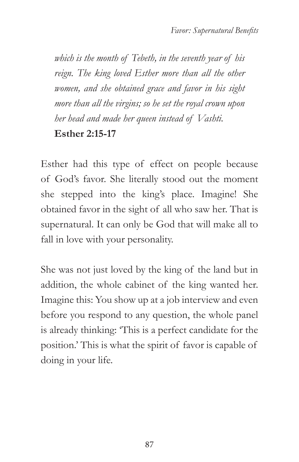*which is the month of Tebeth, in the seventh year of his reign. The king loved Esther more than all the other women, and she obtained grace and favor in his sight more than all the virgins; so he set the royal crown upon her head and made her queen instead of Vashti.* **Esther 2:15-17**

Esther had this type of effect on people because of God's favor. She literally stood out the moment she stepped into the king's place. Imagine! She obtained favor in the sight of all who saw her. That is supernatural. It can only be God that will make all to fall in love with your personality.

She was not just loved by the king of the land but in addition, the whole cabinet of the king wanted her. Imagine this: You show up at a job interview and even before you respond to any question, the whole panel is already thinking: 'This is a perfect candidate for the position.' This is what the spirit of favor is capable of doing in your life.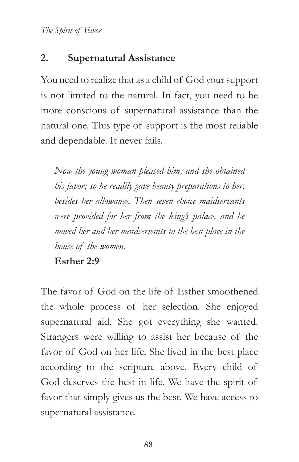*The Spirit of Favor*

### **2. Supernatural Assistance**

You need to realize that as a child of God your support is not limited to the natural. In fact, you need to be more conscious of supernatural assistance than the natural one. This type of support is the most reliable and dependable. It never fails.

*Now the young woman pleased him, and she obtained his favor; so he readily gave beauty preparations to her, besides her allowance. Then seven choice maidservants were provided for her from the king's palace, and he moved her and her maidservants to the best place in the house of the women.* 

#### **Esther 2:9**

The favor of God on the life of Esther smoothened the whole process of her selection. She enjoyed supernatural aid. She got everything she wanted. Strangers were willing to assist her because of the favor of God on her life. She lived in the best place according to the scripture above. Every child of God deserves the best in life. We have the spirit of favor that simply gives us the best. We have access to supernatural assistance.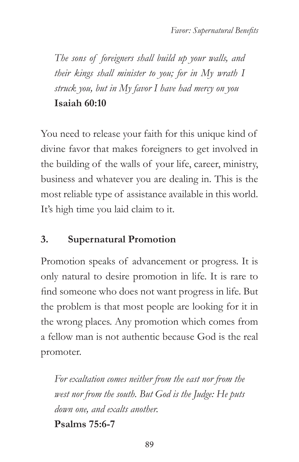*The sons of foreigners shall build up your walls, and their kings shall minister to you; for in My wrath I struck you, but in My favor I have had mercy on you* **Isaiah 60:10**

You need to release your faith for this unique kind of divine favor that makes foreigners to get involved in the building of the walls of your life, career, ministry, business and whatever you are dealing in. This is the most reliable type of assistance available in this world. It's high time you laid claim to it.

#### **3. Supernatural Promotion**

Promotion speaks of advancement or progress. It is only natural to desire promotion in life. It is rare to find someone who does not want progress in life. But the problem is that most people are looking for it in the wrong places. Any promotion which comes from a fellow man is not authentic because God is the real promoter.

*For exaltation comes neither from the east nor from the west nor from the south. But God is the Judge: He puts down one, and exalts another.* 

**Psalms 75:6-7**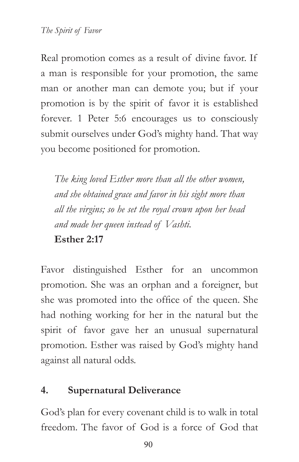*The Spirit of Favor*

Real promotion comes as a result of divine favor. If a man is responsible for your promotion, the same man or another man can demote you; but if your promotion is by the spirit of favor it is established forever. 1 Peter 5:6 encourages us to consciously submit ourselves under God's mighty hand. That way you become positioned for promotion.

*The king loved Esther more than all the other women, and she obtained grace and favor in his sight more than all the virgins; so he set the royal crown upon her head and made her queen instead of Vashti.*  **Esther 2:17**

Favor distinguished Esther for an uncommon promotion. She was an orphan and a foreigner, but she was promoted into the office of the queen. She had nothing working for her in the natural but the spirit of favor gave her an unusual supernatural promotion. Esther was raised by God's mighty hand against all natural odds.

#### **4. Supernatural Deliverance**

God's plan for every covenant child is to walk in total freedom. The favor of God is a force of God that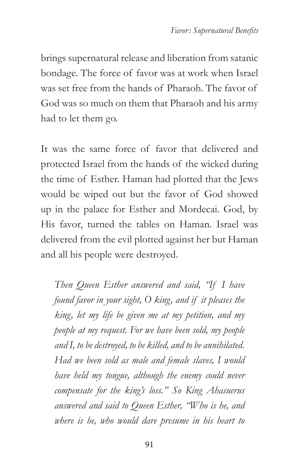brings supernatural release and liberation from satanic bondage. The force of favor was at work when Israel was set free from the hands of Pharaoh. The favor of God was so much on them that Pharaoh and his army had to let them go.

It was the same force of favor that delivered and protected Israel from the hands of the wicked during the time of Esther. Haman had plotted that the Jews would be wiped out but the favor of God showed up in the palace for Esther and Mordecai. God, by His favor, turned the tables on Haman. Israel was delivered from the evil plotted against her but Haman and all his people were destroyed.

*Then Queen Esther answered and said, "If I have found favor in your sight, O king, and if it pleases the king, let my life be given me at my petition, and my people at my request. For we have been sold, my people and I, to be destroyed, to be killed, and to be annihilated. Had we been sold as male and female slaves, I would have held my tongue, although the enemy could never compensate for the king's loss." So King Ahasuerus answered and said to Queen Esther, "Who is he, and where is he, who would dare presume in his heart to*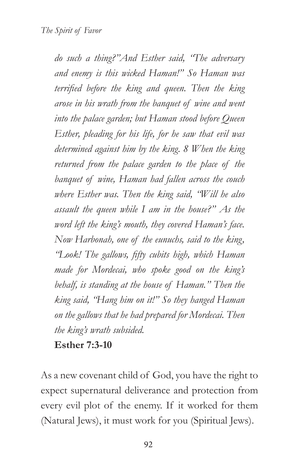*do such a thing?"And Esther said, "The adversary and enemy is this wicked Haman!" So Haman was terrified before the king and queen. Then the king arose in his wrath from the banquet of wine and went into the palace garden; but Haman stood before Queen Esther, pleading for his life, for he saw that evil was determined against him by the king. 8 When the king returned from the palace garden to the place of the banquet of wine, Haman had fallen across the couch where Esther was. Then the king said, "Will he also assault the queen while I am in the house?" As the word left the king's mouth, they covered Haman's face. Now Harbonah, one of the eunuchs, said to the king, "Look! The gallows, fifty cubits high, which Haman made for Mordecai, who spoke good on the king's behalf, is standing at the house of Haman." Then the king said, "Hang him on it!" So they hanged Haman on the gallows that he had prepared for Mordecai. Then the king's wrath subsided.*

**Esther 7:3-10**

As a new covenant child of God, you have the right to expect supernatural deliverance and protection from every evil plot of the enemy. If it worked for them (Natural Jews), it must work for you (Spiritual Jews).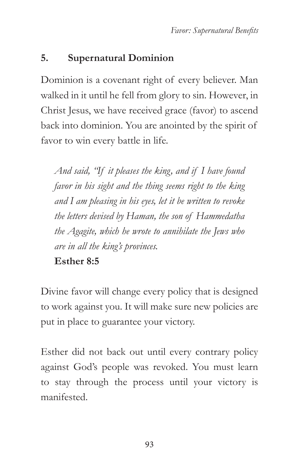## **5. Supernatural Dominion**

Dominion is a covenant right of every believer. Man walked in it until he fell from glory to sin. However, in Christ Jesus, we have received grace (favor) to ascend back into dominion. You are anointed by the spirit of favor to win every battle in life.

*And said, "If it pleases the king, and if I have found favor in his sight and the thing seems right to the king and I am pleasing in his eyes, let it be written to revoke the letters devised by Haman, the son of Hammedatha the Agagite, which he wrote to annihilate the Jews who are in all the king's provinces.* 

#### **Esther 8:5**

Divine favor will change every policy that is designed to work against you. It will make sure new policies are put in place to guarantee your victory.

Esther did not back out until every contrary policy against God's people was revoked. You must learn to stay through the process until your victory is manifested.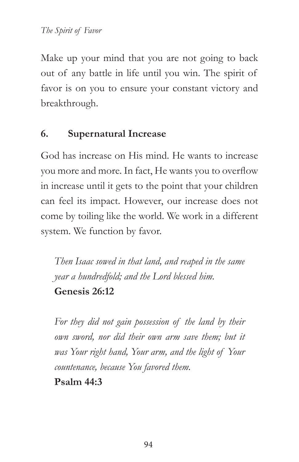Make up your mind that you are not going to back out of any battle in life until you win. The spirit of favor is on you to ensure your constant victory and breakthrough.

### **6. Supernatural Increase**

God has increase on His mind. He wants to increase you more and more. In fact, He wants you to overflow in increase until it gets to the point that your children can feel its impact. However, our increase does not come by toiling like the world. We work in a different system. We function by favor.

*Then Isaac sowed in that land, and reaped in the same year a hundredfold; and the Lord blessed him.*  **Genesis 26:12**

*For they did not gain possession of the land by their own sword, nor did their own arm save them; but it was Your right hand, Your arm, and the light of Your countenance, because You favored them.*  **Psalm 44:3**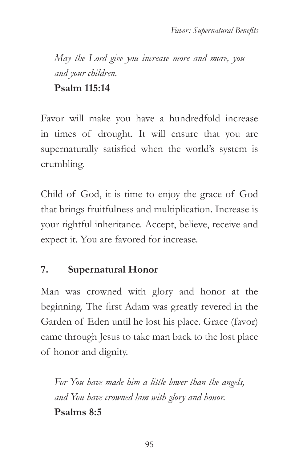*May the Lord give you increase more and more, you and your children.* **Psalm 115:14**

Favor will make you have a hundredfold increase in times of drought. It will ensure that you are supernaturally satisfied when the world's system is crumbling.

Child of God, it is time to enjoy the grace of God that brings fruitfulness and multiplication. Increase is your rightful inheritance. Accept, believe, receive and expect it. You are favored for increase.

## **7. Supernatural Honor**

Man was crowned with glory and honor at the beginning. The first Adam was greatly revered in the Garden of Eden until he lost his place. Grace (favor) came through Jesus to take man back to the lost place of honor and dignity.

*For You have made him a little lower than the angels, and You have crowned him with glory and honor.*  **Psalms 8:5**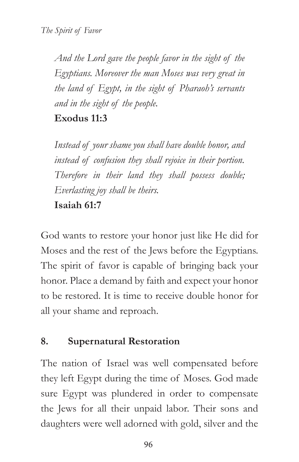*And the Lord gave the people favor in the sight of the Egyptians. Moreover the man Moses was very great in the land of Egypt, in the sight of Pharaoh's servants and in the sight of the people.* 

**Exodus 11:3**

*Instead of your shame you shall have double honor, and instead of confusion they shall rejoice in their portion. Therefore in their land they shall possess double; Everlasting joy shall be theirs.*  **Isaiah 61:7**

God wants to restore your honor just like He did for Moses and the rest of the Jews before the Egyptians. The spirit of favor is capable of bringing back your honor. Place a demand by faith and expect your honor to be restored. It is time to receive double honor for all your shame and reproach.

#### **8. Supernatural Restoration**

The nation of Israel was well compensated before they left Egypt during the time of Moses. God made sure Egypt was plundered in order to compensate the Jews for all their unpaid labor. Their sons and daughters were well adorned with gold, silver and the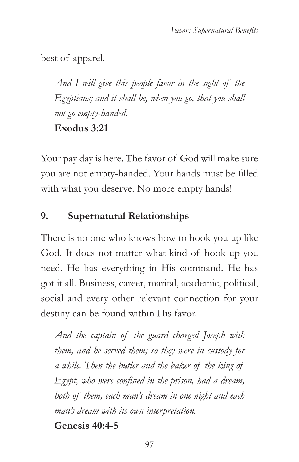best of apparel.

*And I will give this people favor in the sight of the Egyptians; and it shall be, when you go, that you shall not go empty-handed.*  **Exodus 3:21**

Your pay day is here. The favor of God will make sure you are not empty-handed. Your hands must be filled with what you deserve. No more empty hands!

#### **9. Supernatural Relationships**

There is no one who knows how to hook you up like God. It does not matter what kind of hook up you need. He has everything in His command. He has got it all. Business, career, marital, academic, political, social and every other relevant connection for your destiny can be found within His favor.

*And the captain of the guard charged Joseph with them, and he served them; so they were in custody for a while. Then the butler and the baker of the king of Egypt, who were confined in the prison, had a dream, both of them, each man's dream in one night and each man's dream with its own interpretation.* 

**Genesis 40:4-5**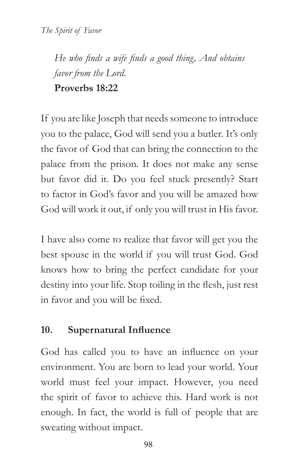*He who finds a wife finds a good thing, And obtains favor from the Lord.*  **Proverbs 18:22**

If you are like Joseph that needs someone to introduce you to the palace, God will send you a butler. It's only the favor of God that can bring the connection to the palace from the prison. It does not make any sense but favor did it. Do you feel stuck presently? Start to factor in God's favor and you will be amazed how God will work it out, if only you will trust in His favor.

I have also come to realize that favor will get you the best spouse in the world if you will trust God. God knows how to bring the perfect candidate for your destiny into your life. Stop toiling in the flesh, just rest in favor and you will be fixed.

#### **10. Supernatural Influence**

God has called you to have an influence on your environment. You are born to lead your world. Your world must feel your impact. However, you need the spirit of favor to achieve this. Hard work is not enough. In fact, the world is full of people that are sweating without impact.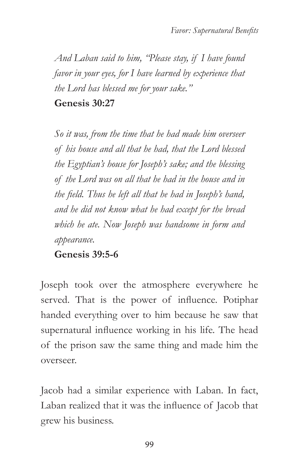*And Laban said to him, "Please stay, if I have found favor in your eyes, for I have learned by experience that the Lord has blessed me for your sake."*

#### **Genesis 30:27**

*So it was, from the time that he had made him overseer of his house and all that he had, that the Lord blessed the Egyptian's house for Joseph's sake; and the blessing of the Lord was on all that he had in the house and in the field. Thus he left all that he had in Joseph's hand, and he did not know what he had except for the bread which he ate. Now Joseph was handsome in form and appearance.* 

#### **Genesis 39:5-6**

Joseph took over the atmosphere everywhere he served. That is the power of influence. Potiphar handed everything over to him because he saw that supernatural influence working in his life. The head of the prison saw the same thing and made him the overseer.

Jacob had a similar experience with Laban. In fact, Laban realized that it was the influence of Jacob that grew his business.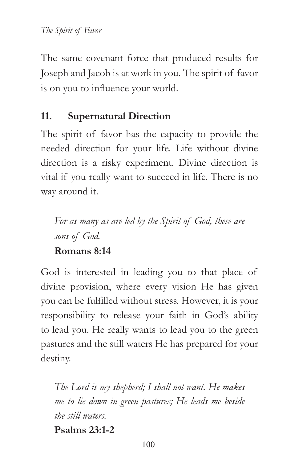The same covenant force that produced results for Joseph and Jacob is at work in you. The spirit of favor is on you to influence your world.

## **11. Supernatural Direction**

The spirit of favor has the capacity to provide the needed direction for your life. Life without divine direction is a risky experiment. Divine direction is vital if you really want to succeed in life. There is no way around it.

*For as many as are led by the Spirit of God, these are sons of God.*  **Romans 8:14**

God is interested in leading you to that place of divine provision, where every vision He has given you can be fulfilled without stress. However, it is your responsibility to release your faith in God's ability to lead you. He really wants to lead you to the green pastures and the still waters He has prepared for your destiny.

*The Lord is my shepherd; I shall not want. He makes me to lie down in green pastures; He leads me beside the still waters.* 

**Psalms 23:1-2**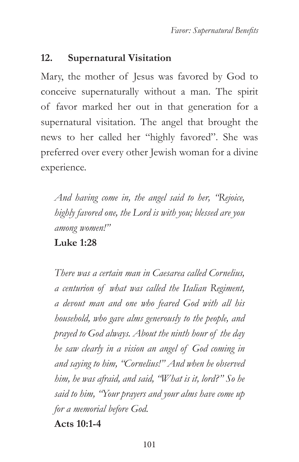### **12. Supernatural Visitation**

Mary, the mother of Jesus was favored by God to conceive supernaturally without a man. The spirit of favor marked her out in that generation for a supernatural visitation. The angel that brought the news to her called her "highly favored". She was preferred over every other Jewish woman for a divine experience.

*And having come in, the angel said to her, "Rejoice, highly favored one, the Lord is with you; blessed are you among women!"* 

#### **Luke 1:28**

*There was a certain man in Caesarea called Cornelius, a centurion of what was called the Italian Regiment, a devout man and one who feared God with all his household, who gave alms generously to the people, and prayed to God always. About the ninth hour of the day he saw clearly in a vision an angel of God coming in and saying to him, "Cornelius!" And when he observed him, he was afraid, and said, "What is it, lord?" So he said to him, "Your prayers and your alms have come up for a memorial before God.* 

**Acts 10:1-4**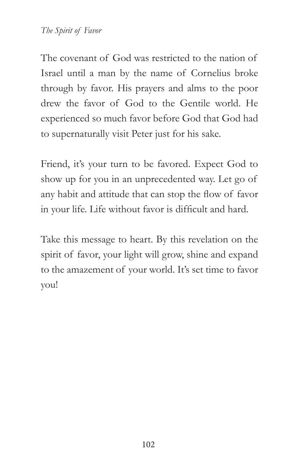#### *The Spirit of Favor*

The covenant of God was restricted to the nation of Israel until a man by the name of Cornelius broke through by favor. His prayers and alms to the poor drew the favor of God to the Gentile world. He experienced so much favor before God that God had to supernaturally visit Peter just for his sake.

Friend, it's your turn to be favored. Expect God to show up for you in an unprecedented way. Let go of any habit and attitude that can stop the flow of favor in your life. Life without favor is difficult and hard.

Take this message to heart. By this revelation on the spirit of favor, your light will grow, shine and expand to the amazement of your world. It's set time to favor you!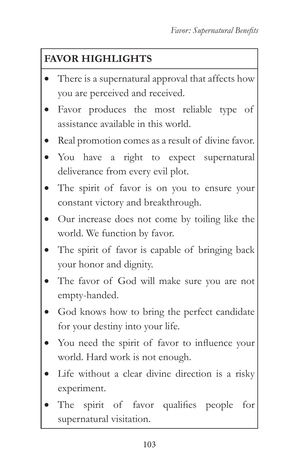### **FAVOR HIGHLIGHTS**

- There is a supernatural approval that affects how you are perceived and received.
- Favor produces the most reliable type of assistance available in this world.
- Real promotion comes as a result of divine favor.
- You have a right to expect supernatural deliverance from every evil plot.
- The spirit of favor is on you to ensure your constant victory and breakthrough.
- Our increase does not come by toiling like the world. We function by favor.
- The spirit of favor is capable of bringing back your honor and dignity.
- The favor of God will make sure you are not empty-handed.
- God knows how to bring the perfect candidate for your destiny into your life.
- You need the spirit of favor to influence your world. Hard work is not enough.
- Life without a clear divine direction is a risky experiment.
- The spirit of favor qualifies people for supernatural visitation.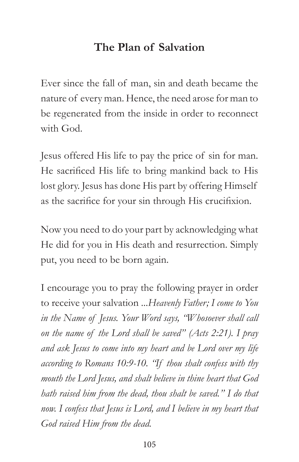## **The Plan of Salvation**

Ever since the fall of man, sin and death became the nature of every man. Hence, the need arose for man to be regenerated from the inside in order to reconnect with God.

Jesus offered His life to pay the price of sin for man. He sacrificed His life to bring mankind back to His lost glory. Jesus has done His part by offering Himself as the sacrifice for your sin through His crucifixion.

Now you need to do your part by acknowledging what He did for you in His death and resurrection. Simply put, you need to be born again.

I encourage you to pray the following prayer in order to receive your salvation ...*Heavenly Father; I come to You in the Name of Jesus. Your Word says, "Whosoever shall call on the name of the Lord shall be saved" (Acts 2:21). I pray and ask Jesus to come into my heart and be Lord over my life according to Romans 10:9-10. "If thou shalt confess with thy mouth the Lord Jesus, and shalt believe in thine heart that God hath raised him from the dead, thou shalt be saved." I do that now. I confess that Jesus is Lord, and I believe in my heart that God raised Him from the dead.*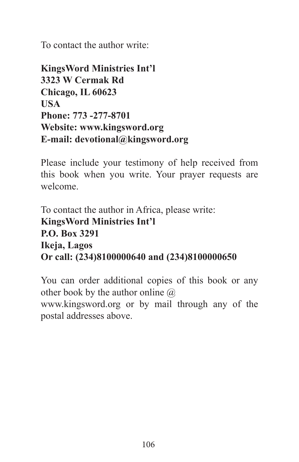To contact the author write:

**KingsWord Ministries Int'l 3323 W Cermak Rd Chicago, IL 60623 USA Phone: 773 -277-8701 Website: www.kingsword.org E-mail: devotional@kingsword.org**

Please include your testimony of help received from this book when you write. Your prayer requests are welcome.

To contact the author in Africa, please write: **KingsWord Ministries Int'l P.O. Box 3291 Ikeja, Lagos Or call: (234)8100000640 and (234)8100000650**

You can order additional copies of this book or any other book by the author online @ www.kingsword.org or by mail through any of the postal addresses above.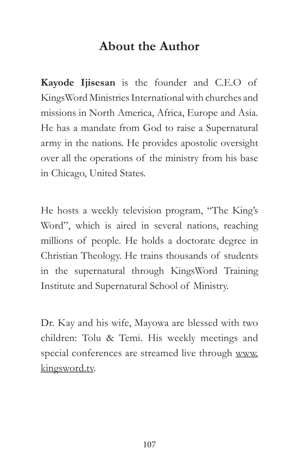# **About the Author**

**Kayode Ijisesan** is the founder and C.E.O of KingsWord Ministries International with churches and missions in North America, Africa, Europe and Asia. He has a mandate from God to raise a Supernatural army in the nations. He provides apostolic oversight over all the operations of the ministry from his base in Chicago, United States.

He hosts a weekly television program, "The King's Word", which is aired in several nations, reaching millions of people. He holds a doctorate degree in Christian Theology. He trains thousands of students in the supernatural through KingsWord Training Institute and Supernatural School of Ministry.

Dr. Kay and his wife, Mayowa are blessed with two children: Tolu & Temi. His weekly meetings and special conferences are streamed live through www. kingsword.tv.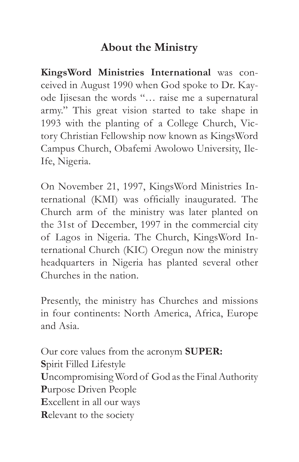## **About the Ministry**

**KingsWord Ministries International** was conceived in August 1990 when God spoke to Dr. Kayode Ijisesan the words "… raise me a supernatural army." This great vision started to take shape in 1993 with the planting of a College Church, Victory Christian Fellowship now known as KingsWord Campus Church, Obafemi Awolowo University, Ile-Ife, Nigeria.

On November 21, 1997, KingsWord Ministries International (KMI) was officially inaugurated. The Church arm of the ministry was later planted on the 31st of December, 1997 in the commercial city of Lagos in Nigeria. The Church, KingsWord International Church (KIC) Oregun now the ministry headquarters in Nigeria has planted several other Churches in the nation.

Presently, the ministry has Churches and missions in four continents: North America, Africa, Europe and Asia.

Our core values from the acronym **SUPER: S**pirit Filled Lifestyle **U**ncompromising Word of God as the Final Authority **P**urpose Driven People **E**xcellent in all our ways **R**elevant to the society